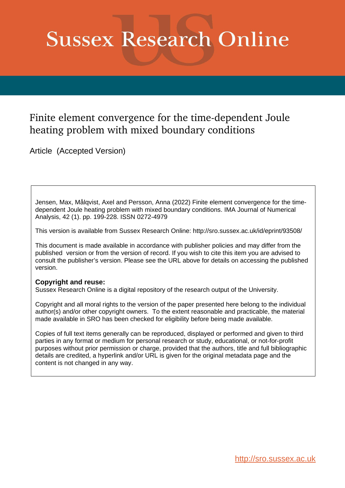# **Sussex Research Online**

# Finite element convergence for the time-dependent Joule heating problem with mixed boundary conditions

Article (Accepted Version)

Jensen, Max, Målqvist, Axel and Persson, Anna (2022) Finite element convergence for the timedependent Joule heating problem with mixed boundary conditions. IMA Journal of Numerical Analysis, 42 (1). pp. 199-228. ISSN 0272-4979

This version is available from Sussex Research Online: http://sro.sussex.ac.uk/id/eprint/93508/

This document is made available in accordance with publisher policies and may differ from the published version or from the version of record. If you wish to cite this item you are advised to consult the publisher's version. Please see the URL above for details on accessing the published version.

## **Copyright and reuse:**

Sussex Research Online is a digital repository of the research output of the University.

Copyright and all moral rights to the version of the paper presented here belong to the individual author(s) and/or other copyright owners. To the extent reasonable and practicable, the material made available in SRO has been checked for eligibility before being made available.

Copies of full text items generally can be reproduced, displayed or performed and given to third parties in any format or medium for personal research or study, educational, or not-for-profit purposes without prior permission or charge, provided that the authors, title and full bibliographic details are credited, a hyperlink and/or URL is given for the original metadata page and the content is not changed in any way.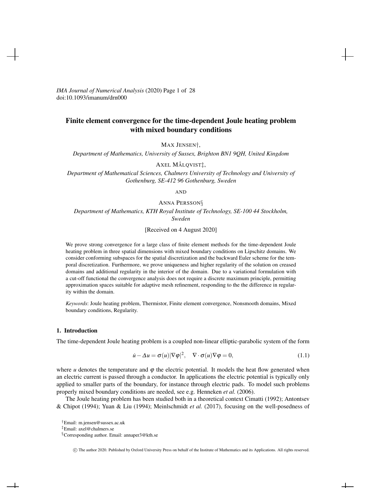*IMA Journal of Numerical Analysis* (2020) Page 1 of 28 doi:10.1093/imanum/drn000

### Finite element convergence for the time-dependent Joule heating problem with mixed boundary conditions

MAX JENSEN†,

*Department of Mathematics, University of Sussex, Brighton BN1 9QH, United Kingdom*

AXEL MÅLQVIST<sup>†</sup>,

*Department of Mathematical Sciences, Chalmers University of Technology and University of Gothenburg, SE-412 96 Gothenburg, Sweden*

AND

#### ANNA PERSSON§

*Department of Mathematics, KTH Royal Institute of Technology, SE-100 44 Stockholm, Sweden*

[Received on 4 August 2020]

We prove strong convergence for a large class of finite element methods for the time-dependent Joule heating problem in three spatial dimensions with mixed boundary conditions on Lipschitz domains. We consider conforming subspaces for the spatial discretization and the backward Euler scheme for the temporal discretization. Furthermore, we prove uniqueness and higher regularity of the solution on creased domains and additional regularity in the interior of the domain. Due to a variational formulation with a cut-off functional the convergence analysis does not require a discrete maximum principle, permitting approximation spaces suitable for adaptive mesh refinement, responding to the the difference in regularity within the domain.

*Keywords*: Joule heating problem, Thermistor, Finite element convergence, Nonsmooth domains, Mixed boundary conditions, Regularity.

#### 1. Introduction

The time-dependent Joule heating problem is a coupled non-linear elliptic-parabolic system of the form

$$
\dot{u} - \Delta u = \sigma(u) |\nabla \varphi|^2, \quad \nabla \cdot \sigma(u) \nabla \varphi = 0,
$$
\n(1.1)

where *u* denotes the temperature and  $\varphi$  the electric potential. It models the heat flow generated when an electric current is passed through a conductor. In applications the electric potential is typically only applied to smaller parts of the boundary, for instance through electric pads. To model such problems properly mixed boundary conditions are needed, see e.g. Henneken *et al.* (2006).

The Joule heating problem has been studied both in a theoretical context Cimatti (1992); Antontsev & Chipot (1994); Yuan & Liu (1994); Meinlschmidt *et al.* (2017), focusing on the well-posedness of

†Email: m.jensen@sussex.ac.uk

‡Email: axel@chalmers.se

§Corresponding author. Email: annaper3@kth.se

c The author 2020. Published by Oxford University Press on behalf of the Institute of Mathematics and its Applications. All rights reserved.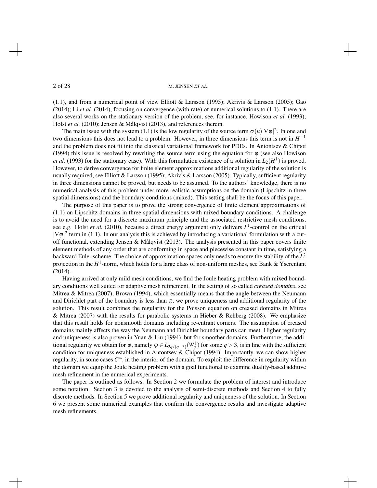(1.1), and from a numerical point of view Elliott & Larsson (1995); Akrivis & Larsson (2005); Gao (2014); Li *et al.* (2014), focusing on convergence (with rate) of numerical solutions to (1.1). There are also several works on the stationary version of the problem, see, for instance, Howison *et al.* (1993); Holst *et al.* (2010); Jensen & Målqvist (2013), and references therein.

The main issue with the system (1.1) is the low regularity of the source term  $\sigma(u)|\nabla\varphi|^2$ . In one and two dimensions this does not lead to a problem. However, in three dimensions this term is not in *H* −1 and the problem does not fit into the classical variational framework for PDEs. In Antontsev & Chipot (1994) this issue is resolved by rewriting the source term using the equation for  $\varphi$  (see also Howison *et al.* (1993) for the stationary case). With this formulation existence of a solution in  $L_2(H^1)$  is proved. However, to derive convergence for finite element approximations additional regularity of the solution is usually required, see Elliott & Larsson (1995); Akrivis & Larsson (2005). Typically, sufficient regularity in three dimensions cannot be proved, but needs to be assumed. To the authors' knowledge, there is no numerical analysis of this problem under more realistic assumptions on the domain (Lipschitz in three spatial dimensions) and the boundary conditions (mixed). This setting shall be the focus of this paper.

The purpose of this paper is to prove the strong convergence of finite element approximations of (1.1) on Lipschitz domains in three spatial dimensions with mixed boundary conditions. A challenge is to avoid the need for a discrete maximum principle and the associated restrictive mesh conditions, see e.g. Holst *et al.* (2010), because a direct energy argument only delivers  $L^1$ -control on the critical  $|\nabla \varphi|^2$  term in (1.1). In our analysis this is achieved by introducing a variational formulation with a cutoff functional, extending Jensen & Målqvist (2013). The analysis presented in this paper covers finite element methods of any order that are conforming in space and piecewise constant in time, satisfying a backward Euler scheme. The choice of approximation spaces only needs to ensure the stability of the *L* 2 projection in the  $H^1$ -norm, which holds for a large class of non-uniform meshes, see Bank & Yserentant (2014).

Having arrived at only mild mesh conditions, we find the Joule heating problem with mixed boundary conditions well suited for adaptive mesh refinement. In the setting of so called *creased domains*, see Mitrea & Mitrea (2007); Brown (1994), which essentially means that the angle between the Neumann and Dirichlet part of the boundary is less than  $\pi$ , we prove uniqueness and additional regularity of the solution. This result combines the regularity for the Poisson equation on creased domains in Mitrea & Mitrea (2007) with the results for parabolic systems in Hieber & Rehberg (2008). We emphasize that this result holds for nonsmooth domains including re-entrant corners. The assumption of creased domains mainly affects the way the Neumann and Dirichlet boundary parts can meet. Higher regularity and uniqueness is also proven in Yuan & Liu (1994), but for smoother domains. Furthermore, the additional regularity we obtain for  $\varphi$ , namely  $\varphi \in L_{2q/(q-3)}(W_q^1)$  for some  $q > 3$ , is in line with the sufficient condition for uniqueness established in Antontsev & Chipot (1994). Importantly, we can show higher regularity, in some cases *C* <sup>∞</sup>, in the interior of the domain. To exploit the difference in regularity within the domain we equip the Joule heating problem with a goal functional to examine duality-based additive mesh refinement in the numerical experiments.

The paper is outlined as follows: In Section 2 we formulate the problem of interest and introduce some notation. Section 3 is devoted to the analysis of semi-discrete methods and Section 4 to fully discrete methods. In Section 5 we prove additional regularity and uniqueness of the solution. In Section 6 we present some numerical examples that confirm the convergence results and investigate adaptive mesh refinements.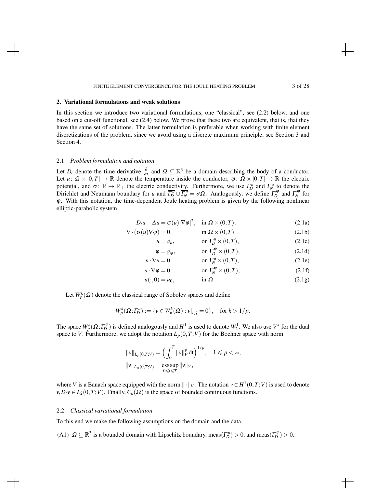#### FINITE ELEMENT CONVERGENCE FOR THE JOULE HEATING PROBLEM 3 of 28

#### 2. Variational formulations and weak solutions

In this section we introduce two variational formulations, one "classical", see (2.2) below, and one based on a cut-off functional, see (2.4) below. We prove that these two are equivalent, that is, that they have the same set of solutions. The latter formulation is preferable when working with finite element discretizations of the problem, since we avoid using a discrete maximum principle, see Section 3 and Section 4.

#### 2.1 *Problem formulation and notation*

Let  $D_t$  denote the time derivative  $\frac{\partial}{\partial t}$  and  $\Omega \subseteq \mathbb{R}^3$  be a domain describing the body of a conductor. Let  $u: \Omega \times [0,T] \to \mathbb{R}$  denote the temperature inside the conductor,  $\varphi: \Omega \times [0,T] \to \mathbb{R}$  the electric potential, and  $\sigma: \mathbb{R} \to \mathbb{R}_+$  the electric conductivity. Furthermore, we use  $\Gamma_D^u$  and  $\Gamma_N^u$  to denote the Dirichlet and Neumann boundary for *u* and  $\overline{\Gamma_{D}^{u}} \cup \overline{\Gamma_{N}^{u}} = \partial \Omega$ . Analogously, we define  $\Gamma_{D}^{\phi}$  and  $\Gamma_{N}^{\phi}$  for  $\varphi$ . With this notation, the time-dependent Joule heating problem is given by the following nonlinear elliptic-parabolic system

$$
D_t u - \Delta u = \sigma(u) |\nabla \varphi|^2, \quad \text{in } \Omega \times (0, T), \tag{2.1a}
$$

$$
\nabla \cdot (\sigma(u)\nabla \varphi) = 0, \qquad \text{in } \Omega \times (0,T), \qquad (2.1b)
$$

$$
u = g_u, \qquad \text{on } \Gamma_D^u \times (0, T), \tag{2.1c}
$$

$$
\varphi = g_{\varphi}, \qquad \text{on } \Gamma_D^{\varphi} \times (0, T), \qquad (2.1d)
$$

$$
n \cdot \nabla u = 0, \qquad \text{on } \Gamma_N^u \times (0, T), \tag{2.1e}
$$

$$
n \cdot \nabla \varphi = 0, \qquad \text{on } \Gamma_N^{\varphi} \times (0, T), \qquad (2.1f)
$$

$$
u(\cdot,0) = u_0, \qquad \text{in } \Omega. \tag{2.1g}
$$

Let  $W_p^k(\Omega)$  denote the classical range of Sobolev spaces and define

$$
W_p^k(\Omega; \Gamma_D^u) := \{ v \in W_p^k(\Omega) : v|_{\Gamma_D^u} = 0 \}, \quad \text{for } k > 1/p.
$$

The space  $W_p^k(\Omega; \Gamma_D^{\phi})$  is defined analogously and  $H^1$  is used to denote  $W_2^1$ . We also use  $V^*$  for the dual space to *V*. Furthermore, we adopt the notation  $L_p(0,T;V)$  for the Bochner space with norm

$$
\begin{aligned} &\|v\|_{L_p(0,T;V)} = \Bigl(\int_0^T \|v\|_V^p \,\mathrm{d} t\Bigr)^{1/p}, \quad 1 \leqslant p < \infty, \\ &\|v\|_{L_\infty(0,T;V)} = \operatorname*{ess\,sup}_{0 \leqslant t \leqslant T} \|v\|_V, \end{aligned}
$$

where *V* is a Banach space equipped with the norm  $\|\cdot\|_V$ . The notation  $v \in H^1(0,T;V)$  is used to denote  $v, D_t v \in L_2(0, T; V)$ . Finally,  $C_b(\Omega)$  is the space of bounded continuous functions.

#### 2.2 *Classical variational formulation*

To this end we make the following assumptions on the domain and the data.

(A1)  $\Omega \subseteq \mathbb{R}^3$  is a bounded domain with Lipschitz boundary, meas( $\Gamma_D^u$ ) > 0, and meas( $\Gamma_D^{\phi}$ ) > 0.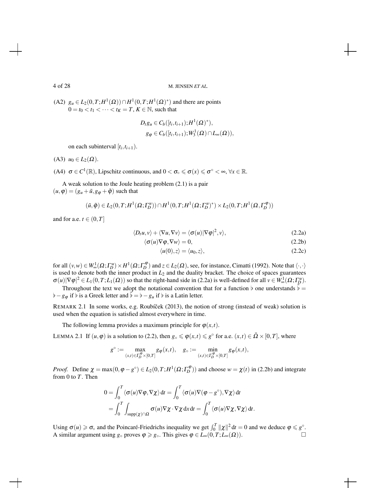$(A2)$   $g_u \in L_2(0,T;H^1(\Omega)) \cap H^1(0,T;H^1(\Omega))^*$  and there are points  $0 = t_0 < t_1 < \cdots < t_K = T$ ,  $K \in \mathbb{N}$ , such that

$$
D_t g_u \in C_b([t_i,t_{i+1});H^1(\Omega)^*),
$$
  

$$
g_{\varphi} \in C_b([t_i,t_{i+1});W_3^1(\Omega) \cap L_{\infty}(\Omega)),
$$

on each subinterval  $[t_i, t_{i+1})$ .

(A3)  $u_0 \in L_2(\Omega)$ .

(A4)  $\sigma \in C^1(\mathbb{R})$ , Lipschitz continuous, and  $0 < \sigma_\circ \leq \sigma(x) \leq \sigma^\circ < \infty$ ,  $\forall x \in \mathbb{R}$ .

A weak solution to the Joule heating problem (2.1) is a pair  $(u, \varphi) = (g_u + \tilde{u}, g_{\varphi} + \tilde{\varphi})$  such that

$$
(\tilde{u}, \tilde{\phi}) \in L_2(0, T; H^1(\Omega; \Gamma_D^u)) \cap H^1(0, T; H^1(\Omega; \Gamma_D^u)^*) \times L_2(0, T; H^1(\Omega; \Gamma_D^{\phi}))
$$

and for a.e.  $t \in (0, T]$ 

$$
\langle D_t u, v \rangle + \langle \nabla u, \nabla v \rangle = \langle \sigma(u) | \nabla \varphi |^2, v \rangle, \tag{2.2a}
$$

$$
\langle \sigma(u)\nabla\varphi, \nabla w \rangle = 0, \tag{2.2b}
$$

$$
\langle u(0), z \rangle = \langle u_0, z \rangle, \tag{2.2c}
$$

for all  $(v, w) \in W^1_{\infty}(\Omega; \Gamma_D^u) \times H^1(\Omega; \Gamma_D^{\phi})$  and  $z \in L_2(\Omega)$ , see, for instance, Cimatti (1992). Note that  $\langle \cdot, \cdot \rangle$ is used to denote both the inner product in  $L_2$  and the duality bracket. The choice of spaces guarantees  $\sigma(u)|\nabla \varphi|^2 \in L_1(0,T;L_1(\Omega))$  so that the right-hand side in (2.2a) is well-defined for all  $v \in W^1_{\infty}(\Omega;L_1^u)$ .

Throughout the text we adopt the notational convention that for a function  $\flat$  one understands  $\tilde{\bar{\flat}} =$  $\oint -g_{\varphi}$  if  $\flat$  is a Greek letter and  $\vec{\flat} = \flat - g_{\mu}$  if  $\flat$  is a Latin letter.

REMARK 2.1 In some works, e.g. Roubíček (2013), the notion of strong (instead of weak) solution is used when the equation is satisfied almost everywhere in time.

The following lemma provides a maximum principle for  $\varphi(x,t)$ .

LEMMA 2.1 If  $(u, \varphi)$  is a solution to (2.2), then  $g \circ \leq \varphi(x,t) \leq g^{\circ}$  for a.e.  $(x,t) \in \overline{\Omega} \times [0,T]$ , where

$$
g^\circ:=\max_{(x,t)\in\Gamma_D^\varPhi\times[0,T]}g_\varphi(x,t),\quad g_\circ:=\min_{(x,t)\in\Gamma_D^\varPhi\times[0,T]}g_\varphi(x,t),
$$

*Proof.* Define  $\chi = \max(0, \varphi - g^{\circ}) \in L_2(0, T; H^1(\Omega; \Gamma_D^{\varphi}))$  and choose  $w = \chi(t)$  in (2.2b) and integrate from 0 to *T*. Then

$$
0 = \int_0^T \langle \sigma(u) \nabla \varphi, \nabla \chi \rangle dt = \int_0^T \langle \sigma(u) \nabla(\varphi - g^\circ), \nabla \chi \rangle dt
$$
  
= 
$$
\int_0^T \int_{\text{supp}(\chi) \cap \Omega} \sigma(u) \nabla \chi \cdot \nabla \chi dx dt = \int_0^T \langle \sigma(u) \nabla \chi, \nabla \chi \rangle dt.
$$

Using  $\sigma(u) \geq \sigma_0$  and the Poincaré-Friedrichs inequality we get  $\int_0^T ||\chi||^2 dt = 0$  and we deduce  $\varphi \leq g^{\circ}$ . A similar argument using  $g_{\circ}$  proves  $\varphi \ge g_{\circ}$ . This gives  $\varphi \in L_{\infty}(0,T; L_{\infty}(\Omega))$ .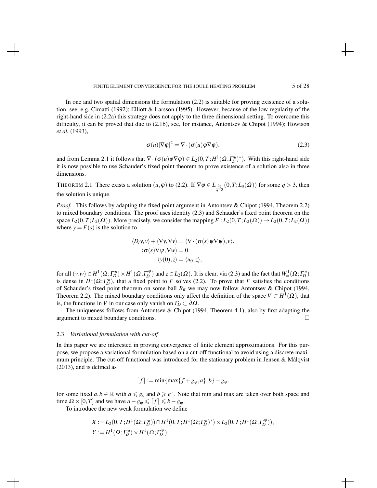In one and two spatial dimensions the formulation (2.2) is suitable for proving existence of a solution, see, e.g. Cimatti (1992); Elliott & Larsson (1995). However, because of the low regularity of the right-hand side in (2.2a) this strategy does not apply to the three dimensional setting. To overcome this difficulty, it can be proved that due to  $(2.1b)$ , see, for instance, Antontsev & Chipot (1994); Howison *et al.* (1993),

$$
\sigma(u)|\nabla\varphi|^2 = \nabla \cdot (\sigma(u)\varphi\nabla\varphi),
$$
\n(2.3)

and from Lemma 2.1 it follows that  $\nabla \cdot (\sigma(u)\varphi \nabla \varphi) \in L_2(0,T;H^1(\Omega,\Gamma_D^u)^*)$ . With this right-hand side it is now possible to use Schauder's fixed point theorem to prove existence of a solution also in three dimensions.

THEOREM 2.1 There exists a solution  $(u, \varphi)$  to (2.2). If  $\nabla \varphi \in L_{\frac{2q}{q-3}}(0,T;L_q(\Omega))$  for some  $q > 3$ , then the solution is unique.

*Proof.* This follows by adapting the fixed point argument in Antontsev & Chipot (1994, Theorem 2.2) to mixed boundary conditions. The proof uses identity (2.3) and Schauder's fixed point theorem on the space  $L_2(0,T;L_2(\Omega))$ . More precisely, we consider the mapping  $F: L_2(0,T;L_2(\Omega)) \to L_2(0,T;L_2(\Omega))$ where  $y = F(s)$  is the solution to

$$
\langle D_t y, v \rangle + \langle \nabla y, \nabla v \rangle = \langle \nabla \cdot (\sigma(s) \psi \nabla \psi), v \rangle, \n\langle \sigma(s) \nabla \psi, \nabla w \rangle = 0 \n\langle y(0), z \rangle = \langle u_0, z \rangle,
$$

for all  $(v, w) \in H^1(\Omega; \Gamma_D^u) \times H^1(\Omega; \Gamma_D^{\phi})$  and  $z \in L_2(\Omega)$ . It is clear, via (2.3) and the fact that  $W^1_{\infty}(\Omega; \Gamma_D^u)$ is dense in  $H^1(\Omega; \Gamma_b^u)$ , that a fixed point to *F* solves (2.2). To prove that *F* satisfies the conditions of Schauder's fixed point theorem on some ball *B<sup>R</sup>* we may now follow Antontsev & Chipot (1994, Theorem 2.2). The mixed boundary conditions only affect the definition of the space  $V \subset H^1(\Omega)$ , that is, the functions in *V* in our case only vanish on  $\Gamma_D \subset \partial \Omega$ .

The uniqueness follows from Antontsev & Chipot (1994, Theorem 4.1), also by first adapting the argument to mixed boundary conditions.

#### 2.3 *Variational formulation with cut-off*

In this paper we are interested in proving convergence of finite element approximations. For this purpose, we propose a variational formulation based on a cut-off functional to avoid using a discrete maximum principle. The cut-off functional was introduced for the stationary problem in Jensen & Målqvist (2013), and is defined as

$$
[f] := \min\{\max\{f+g_{\varphi},a\},b\}-g_{\varphi}.
$$

for some fixed  $a, b \in \mathbb{R}$  with  $a \le g_\circ$  and  $b \ge g^\circ$ . Note that min and max are taken over both space and time  $\Omega \times [0, T]$  and we have  $a - g_{\varphi} \leq f \leq b - g_{\varphi}$ .

To introduce the new weak formulation we define

$$
X := L_2(0, T; H^1(\Omega; \Gamma_D^u)) \cap H^1(0, T; H^1(\Omega; \Gamma_D^{u,*})) \times L_2(0, T; H^1(\Omega; \Gamma_D^{\phi})),
$$
  

$$
Y := H^1(\Omega; \Gamma_D^u) \times H^1(\Omega; \Gamma_D^{\phi}).
$$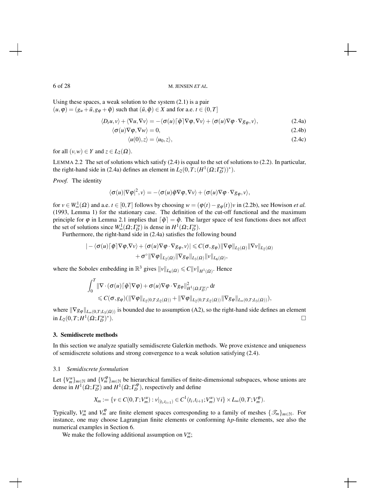Using these spaces, a weak solution to the system (2.1) is a pair  $(u, \varphi) = (g_u + \tilde{u}, g_{\varphi} + \tilde{\varphi})$  such that  $(\tilde{u}, \tilde{\varphi}) \in X$  and for a.e.  $t \in (0, T]$ 

$$
\langle D_t u, v \rangle + \langle \nabla u, \nabla v \rangle = -\langle \sigma(u) \lceil \tilde{\varphi} \rceil \nabla \varphi, \nabla v \rangle + \langle \sigma(u) \nabla \varphi \cdot \nabla g_{\varphi}, v \rangle, \tag{2.4a}
$$

$$
\langle \sigma(u)\nabla\varphi, \nabla w \rangle = 0, \tag{2.4b}
$$

$$
\langle u(0), z \rangle = \langle u_0, z \rangle, \tag{2.4c}
$$

for all  $(v, w) \in Y$  and  $z \in L_2(\Omega)$ .

LEMMA 2.2 The set of solutions which satisfy (2.4) is equal to the set of solutions to (2.2). In particular, the right-hand side in (2.4a) defines an element in  $L_2(0,T;(H^1(\Omega; \Gamma_D^u))^*)$ .

*Proof.* The identity

$$
\langle \sigma(u)|\nabla \varphi|^2, v \rangle = -\langle \sigma(u)\tilde{\varphi}\nabla \varphi, \nabla v \rangle + \langle \sigma(u)\nabla \varphi \cdot \nabla g_{\varphi}, v \rangle,
$$

for  $v \in W^1_{\infty}(\Omega)$  and a.e.  $t \in [0, T]$  follows by choosing  $w = (\varphi(t) - g_{\varphi}(t))v$  in (2.2b), see Howison *et al.* (1993, Lemma 1) for the stationary case. The definition of the cut-off functional and the maximum principle for  $\varphi$  in Lemma 2.1 implies that  $\lceil \varphi \rceil = \varphi$ . The larger space of test functions does not affect the set of solutions since  $W^1_{\infty}(\Omega; \Gamma^u_D)$  is dense in  $H^1(\Omega; \Gamma^u_D)$ .

Furthermore, the right-hand side in (2.4a) satisfies the following bound

$$
\begin{aligned}\n|-\langle\sigma(u)\lceil\tilde{\varphi}\rceil\nabla\varphi,\nabla v\rangle+\langle\sigma(u)\nabla\varphi\cdot\nabla g_{\varphi},v\rangle|&\leqslant C(\sigma,g_{\varphi})\|\nabla\varphi\|_{L_{2}(\Omega)}\|\nabla v\|_{L_{2}(\Omega)} \\
&+\sigma^{\circ}\|\nabla\varphi\|_{L_{2}(\Omega)}\|\nabla g_{\varphi}\|_{L_{3}(\Omega)}\|v\|_{L_{6}(\Omega)},\n\end{aligned}
$$

where the Sobolev embedding in  $\mathbb{R}^3$  gives  $||v||_{L_6(\Omega)} \leq C||v||_{H^1(\Omega)}$ . Hence

$$
\begin{aligned} &\int_0^T\|\nabla\cdot(\sigma(u)\lceil \tilde{\phi}\rceil\nabla\phi)+\sigma(u)\nabla\phi\cdot\nabla g_\phi\|^2_{H^1(\Omega; \Gamma_D^{u})^*}\,\mathrm{d} t\\ &\leqslant C(\sigma,g_\phi)(\|\nabla\phi\|_{L_2(0,T;L_2(\Omega))}+\|\nabla\phi\|_{L_2(0,T;L_2(\Omega))}\|\nabla g_\phi\|_{L_\infty(0,T;L_3(\Omega))}), \end{aligned}
$$

where  $\|\nabla g_{\phi}\|_{L_{\infty}(0,T;L_3(\Omega))}$  is bounded due to assumption (A2), so the right-hand side defines an element  $\ln L_2(0,T;H^1(\Omega; \Gamma_D^u))^*$ ).  $\Box$ 

#### 3. Semidiscrete methods

In this section we analyze spatially semidiscrete Galerkin methods. We prove existence and uniqueness of semidiscrete solutions and strong convergence to a weak solution satisfying (2.4).

#### 3.1 *Semidiscrete formulation*

Let  ${V_m^u}_{m \in \mathbb{N}}$  and  ${V_m^{\phi}}_{m \in \mathbb{N}}$  be hierarchical families of finite-dimensional subspaces, whose unions are dense in  $H^1(\Omega; \Gamma_D^{\mu})$  and  $H^1(\Omega; \Gamma_D^{\phi})$ , respectively and define

$$
X_m := \{ v \in C(0,T;V_m^u) : v|_{[t_i,t_{i+1})} \in C^1(t_i,t_{i+1};V_m^u) \,\forall i \} \times L_\infty(0,T;V_m^\phi).
$$

Typically,  $V_m^u$  and  $V_m^{\phi}$  are finite element spaces corresponding to a family of meshes  $\{\mathcal{F}_m\}_{m\in\mathbb{N}}$ . For instance, one may choose Lagrangian finite elements or conforming *hp*-finite elements, see also the numerical examples in Section 6.

We make the following additional assumption on  $V_m^u$ ;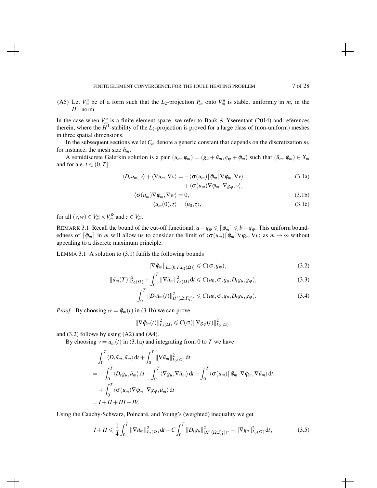(A5) Let  $V_m^u$  be of a form such that the  $L_2$ -projection  $P_m$  onto  $V_m^u$  is stable, uniformly in *m*, in the  $H^1$ -norm.

In the case when  $V_m^u$  is a finite element space, we refer to Bank & Yserentant (2014) and references therein, where the  $H^1$ -stability of the  $L_2$ -projection is proved for a large class of (non-uniform) meshes in three spatial dimensions.

In the subsequent sections we let  $C_m$  denote a generic constant that depends on the discretization  $m$ , for instance, the mesh size *hm*.

A semidiscrete Galerkin solution is a pair  $(u_m, \varphi_m) = (g_u + \tilde{u}_m, g_{\varphi} + \tilde{\varphi}_m)$  such that  $(\tilde{u}_m, \tilde{\varphi}_m) \in X_m$ and for a.e.  $t \in (0, T]$ 

$$
\langle D_t u_m, v \rangle + \langle \nabla u_m, \nabla v \rangle = -\langle \sigma(u_m) [\tilde{\varphi}_m] \nabla \varphi_m, \nabla v \rangle + \langle \sigma(u_m) \nabla \varphi_m \cdot \nabla \varphi_n \cdot v \rangle
$$
\n(3.1a)

$$
\langle \sigma(u_m) \nabla \varphi_m, \nabla w \rangle = 0, \tag{3.1b}
$$

$$
\sigma(u_m)V\varphi_m, Vw\rangle = 0, \qquad (3.1b)
$$

$$
\langle u_m(0), z \rangle = \langle u_0, z \rangle, \tag{3.1c}
$$

for all  $(v, w) \in V_m^u \times V_m^{\varphi}$  and  $z \in V_m^u$ .

REMARK 3.1 Recall the bound of the cut-off functional;  $a-g_{\phi} \leq \left[\phi_m\right] \leq b-g_{\phi}$ . This uniform boundedness of  $\lceil \tilde{\varphi}_m \rceil$  in *m* will allow us to consider the limit of  $\langle \sigma(u_m) \rceil \tilde{\varphi}_m \rceil \nabla \varphi_m, \nabla \nu \rangle$  as  $m \to \infty$  without appealing to a discrete maximum principle.

LEMMA 3.1 A solution to  $(3.1)$  fulfils the following bounds

$$
\|\nabla \tilde{\varphi}_m\|_{L_\infty(0,T;L_2(\Omega))} \leqslant C(\sigma, g_\varphi),\tag{3.2}
$$

$$
\|\tilde{u}_m(T)\|_{L_2(\Omega)}^2 + \int_0^T \|\nabla \tilde{u}_m\|_{L_2(\Omega)}^2 dt \leq C(u_0, \sigma, g_u, D_t g_u, g_\varphi),
$$
\n(3.3)

$$
\int_0^T \|D_t \tilde{u}_m(t)\|_{H^1(\Omega; \Gamma_D^{u})^*}^2 \leq C(u_0, \sigma, g_u, D_t g_u, g_\varphi).
$$
 (3.4)

*Proof.* By choosing  $w = \tilde{\varphi}_m(t)$  in (3.1b) we can prove

$$
\|\nabla \tilde{\varphi}_m(t)\|_{L_2(\Omega)}^2 \leqslant C(\sigma) \|\nabla g_{\varphi}(t)\|_{L_2(\Omega)}^2,
$$

and  $(3.2)$  follows by using  $(A2)$  and  $(A4)$ .

By choosing  $v = \tilde{u}_m(t)$  in (3.1a) and integrating from 0 to *T* we have

$$
\int_0^T \langle D_t \tilde{u}_m, \tilde{u}_m \rangle dt + \int_0^T \|\nabla \tilde{u}_m\|_{L_2(\Omega)}^2 dt
$$
  
=  $-\int_0^T \langle D_t g_u, \tilde{u}_m \rangle dt - \int_0^T \langle \nabla g_u, \nabla \tilde{u}_m \rangle dt - \int_0^T \langle \sigma(u_m) [\tilde{\varphi}_m] \nabla \varphi_m, \nabla \tilde{u}_m \rangle dt$   
+  $\int_0^T \langle \sigma(u_m) \nabla \varphi_m \cdot \nabla g_\varphi, \tilde{u}_m \rangle dt$   
=  $I + II + III + IV$ .

Using the Cauchy-Schwarz, Poincaré, and Young's (weighted) inequality we get

$$
I + II \leq \frac{1}{4} \int_0^T \|\nabla \tilde{u}_m\|_{L_2(\Omega)}^2 dt + C \int_0^T \|D_t g_u\|_{(H^1(\Omega; \Gamma_D''))^*}^2 + \|\nabla g_u\|_{L_2(\Omega)}^2 dt,
$$
\n(3.5)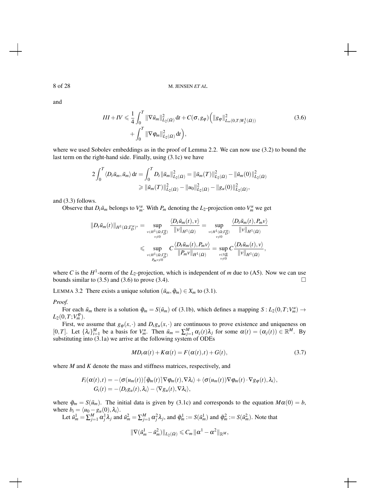and

$$
III + IV \leq \frac{1}{4} \int_0^T \|\nabla \tilde{u}_m\|_{L_2(\Omega)}^2 dt + C(\sigma, g_{\varphi}) \left( \|g_{\varphi}\|_{L_{\infty}(0, T; W_3^1(\Omega))}^2 + \int_0^T \|\nabla \varphi_m\|_{L_2(\Omega)}^2 dt \right),
$$
\n(3.6)

where we used Sobolev embeddings as in the proof of Lemma 2.2. We can now use (3.2) to bound the last term on the right-hand side. Finally, using (3.1c) we have

$$
2\int_0^T \langle D_t \tilde{u}_m, \tilde{u}_m \rangle dt = \int_0^T D_t ||\tilde{u}_m||_{L_2(\Omega)}^2 = ||\tilde{u}_m(T)||_{L_2(\Omega)}^2 - ||\tilde{u}_m(0)||_{L_2(\Omega)}^2
$$
  
\n
$$
\geq ||\tilde{u}_m(T)||_{L_2(\Omega)}^2 - ||u_0||_{L_2(\Omega)}^2 - ||g_u(0)||_{L_2(\Omega)}^2,
$$

and (3.3) follows.

Observe that  $D_t \tilde{u}_m$  belongs to  $V_m^u$ . With  $P_m$  denoting the  $L_2$ -projection onto  $V_m^u$  we get

$$
||D_t \tilde{u}_m(t)||_{H^1(\Omega; \Gamma_D^u)^*} = \sup_{\substack{v \in H^1(\Omega; \Gamma_D^u) \\ v \neq 0}} \frac{\langle D_t \tilde{u}_m(t), v \rangle}{||v||_{H^1(\Omega)}} = \sup_{\substack{v \in H^1(\Omega; \Gamma_D^u) \\ v \neq 0}} \frac{\langle D_t \tilde{u}_m(t), P_m v \rangle}{||v||_{H^1(\Omega)}} \\
\leq \sup_{\substack{v \in H^1(\Omega; \Gamma_D^u) \\ P_m v \neq 0}} C \frac{\langle D_t \tilde{u}_m(t), P_m v \rangle}{||P_m v||_{H^1(\Omega)}} = \sup_{\substack{v \in V_M^u \\ v \neq 0}} C \frac{\langle D_t \tilde{u}_m(t), v \rangle}{||v||_{H^1(\Omega)}},
$$

where *C* is the  $H^1$ -norm of the  $L_2$ -projection, which is independent of *m* due to (A5). Now we can use bounds similar to (3.5) and (3.6) to prove (3.4).

LEMMA 3.2 There exists a unique solution  $(\tilde{u}_m, \tilde{\varphi}_m) \in X_m$  to (3.1).

#### *Proof.*

For each  $\tilde{u}_m$  there is a solution  $\tilde{\varphi}_m = S(\tilde{u}_m)$  of (3.1b), which defines a mapping  $S: L_2(0,T;V_m^u) \to$  $L_2(0,T;V_m^{\phi}).$ 

First, we assume that  $g_{\phi}(x, \cdot)$  and  $D_t g_u(x, \cdot)$  are continuous to prove existence and uniqueness on [0,T]. Let  $\{\lambda_i\}_{i=1}^M$  be a basis for  $V_m^u$ . Then  $\tilde{u}_m = \sum_{j=1}^M \alpha_j(t)\lambda_j$  for some  $\alpha(t) = (\alpha_j(t)) \in \mathbb{R}^M$ . By substituting into (3.1a) we arrive at the following system of ODEs

$$
MD_t \alpha(t) + K \alpha(t) = F(\alpha(t), t) + G(t), \qquad (3.7)
$$

where *M* and *K* denote the mass and stiffness matrices, respectively, and

$$
F_i(\alpha(t),t) = -\langle \sigma(u_m(t))\right] \tilde{\varphi}_m(t) \cdot \nabla \varphi_m(t), \nabla \lambda_i \rangle + \langle \sigma(u_m(t))\nabla \varphi_m(t) \cdot \nabla g_{\varphi}(t), \lambda_i \rangle,
$$
  
\n
$$
G_i(t) = -\langle D_t g_u(t), \lambda_i \rangle - \langle \nabla g_u(t), \nabla \lambda_i \rangle,
$$

where  $\tilde{\varphi}_m = S(\tilde{u}_m)$ . The initial data is given by (3.1c) and corresponds to the equation  $M\alpha(0) = b$ , where  $b_i = \langle u_0 - g_u(0), \lambda_i \rangle$ .

Let  $\tilde{u}_m^1 = \sum_{j=1}^M \alpha_j^1 \lambda_j$  and  $\tilde{u}_m^2 = \sum_{j=1}^M \alpha_j^2 \lambda_j$ , and  $\tilde{\varphi}_m^1 := S(\tilde{u}_m^1)$  and  $\tilde{\varphi}_m^2 := S(\tilde{u}_m^2)$ . Note that

$$
\|\nabla(\tilde{u}_m^1-\tilde{u}_m^2)\|_{L_2(\Omega)}\leqslant C_m\|\alpha^1-\alpha^2\|_{\mathbb{R}^M},
$$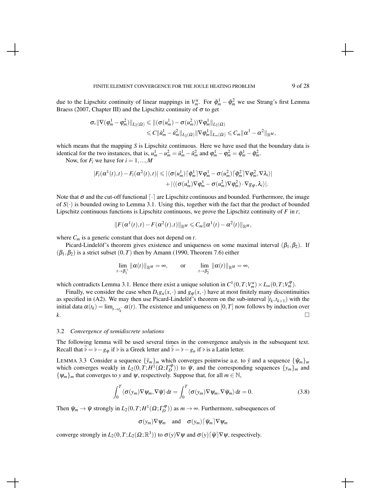due to the Lipschitz continuity of linear mappings in  $V_m^u$ . For  $\tilde{\varphi}_m^1 - \tilde{\varphi}_m^2$  we use Strang's first Lemma Braess (2007, Chapter III) and the Lipschitz continuity of  $\sigma$  to get

$$
\begin{aligned} \sigma_\circ \|\nabla (\varphi^1_m - \varphi^2_m)\|_{L_2(\Omega)} &\leqslant \|(\sigma (u^1_m) - \sigma (u^2_m))\nabla \varphi^1_m\|_{L_2(\Omega)}\\ &\leqslant C \|\tilde u^1_m - \tilde u^2_m\|_{L_2(\Omega)} \|\nabla \varphi^1_m\|_{L_\infty(\Omega)} \leqslant C_m \|\alpha^1 - \alpha^2\|_{\mathbb{R}^M},\end{aligned}
$$

which means that the mapping *S* is Lipschitz continuous. Here we have used that the boundary data is identical for the two instances, that is,  $u_m^1 - u_m^2 = \tilde{u}_m^1 - \tilde{u}_m^2$  and  $\varphi_m^1 - \varphi_m^2 = \tilde{\varphi}_m^1 - \tilde{\varphi}_m^2$ .

Now, for  $F_i$  we have for  $i = 1, ..., M$ 

$$
|F_i(\alpha^1(t),t) - F_i(\alpha^2(t),t)| \leq |\langle \sigma(u_m^1) \lceil \tilde{\varphi}_m^1 \rceil \nabla \varphi_m^1 - \sigma(u_m^2) \lceil \tilde{\varphi}_m^2 \rceil \nabla \varphi_m^2, \nabla \lambda_i \rangle|
$$
  
+  $|\langle (\sigma(u_m^1) \nabla \varphi_m^1 - \sigma(u_m^2) \nabla \varphi_m^2) \cdot \nabla g_\varphi, \lambda_i \rangle|.$ 

Note that  $\sigma$  and the cut-off functional  $\lceil \cdot \rceil$  are Lipschitz continuous and bounded. Furthermore, the image of  $S(\cdot)$  is bounded owing to Lemma 3.1. Using this, together with the fact that the product of bounded Lipschitz continuous functions is Lipschitz continuous, we prove the Lipschitz continuity of  $F$  in  $t$ ;

$$
\|F(\alpha^1(t),t)-F(\alpha^2(t),t)\|_{\mathbb{R}^M}\leq C_m\|\alpha^1(t)-\alpha^2(t)\|_{\mathbb{R}^M},
$$

where  $C_m$  is a generic constant that does not depend on  $t$ .

Picard-Lindelöf's theorem gives existence and uniqueness on some maximal interval  $(\beta_1, \beta_2)$ . If  $(\beta_1, \beta_2)$  is a strict subset  $(0, T)$  then by Amann (1990, Theorem 7.6) either

$$
\lim_{t\to\beta_1^+}\|\alpha(t)\|_{\mathbb{R}^M}=\infty,\qquad\text{or}\qquad\lim_{t\to\beta_2^-}\|\alpha(t)\|_{\mathbb{R}^M}=\infty,
$$

which contradicts Lemma 3.1. Hence there exist a unique solution in  $C^1(0,T;V_m^u) \times L_\infty(0,T;V_m^\varphi)$ .

Finally, we consider the case when  $D_t g_u(x, \cdot)$  and  $g_\varphi(x, \cdot)$  have at most finitely many discontinuities as specified in (A2). We may then use Picard-Lindelöf's theorem on the sub-interval  $[t_k, t_{k+1})$  with the initial data  $\alpha(t_k) = \lim_{t \to t_k^-} \alpha(t)$ . The existence and uniqueness on [0,*T*] now follows by induction over *k*.

#### 3.2 *Convergence of semidiscrete solutions*

The following lemma will be used several times in the convergence analysis in the subsequent text. Recall that  $\tilde{b} = b - g_{\varphi}$  if  $\tilde{b}$  is a Greek letter and  $\tilde{b} = b - g_u$  if  $\tilde{b}$  is a Latin letter.

LEMMA 3.3 Consider a sequence  $\{\tilde{y}_m\}_m$  which converges pointwise a.e. to  $\tilde{y}$  and a sequence  $\{\tilde{\psi}_m\}_m$ which converges weakly in  $L_2(0,T;H^1(\Omega; \Gamma_D^{\phi}))$  to  $\tilde{\psi}$ , and the corresponding sequences  $\{y_m\}_m$  and  $\{\psi_m\}_m$  that converges to *y* and  $\psi$ , respectively. Suppose that, for all  $m \in \mathbb{N}$ ,

$$
\int_0^T \langle \sigma(y_m) \nabla \psi_m, \nabla \tilde{\psi} \rangle dt = \int_0^T \langle \sigma(y_m) \nabla \psi_m, \nabla \tilde{\psi} \rangle dt = 0.
$$
 (3.8)

Then  $\tilde{\psi}_m \to \tilde{\psi}$  strongly in  $L_2(0,T;H^1(\Omega;\Gamma_D^{\varphi}))$  as  $m \to \infty$ . Furthermore, subsequences of

$$
\sigma(y_m)\nabla\psi_m
$$
 and  $\sigma(y_m)\lceil \tilde{\psi}_m\rceil \nabla \psi_m$ 

converge strongly in  $L_2(0,T;L_2(\Omega;\mathbb{R}^3))$  to  $\sigma(y)\nabla\psi$  and  $\sigma(y)\lceil \tilde{\psi} \rceil \nabla \psi$ , respectively.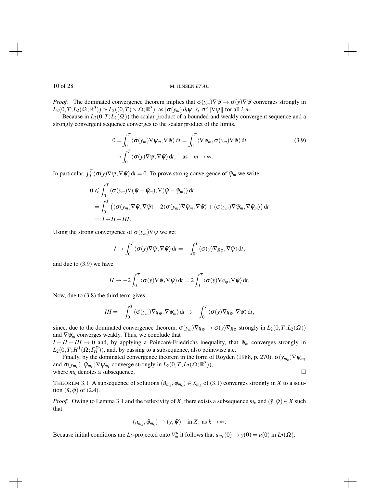*Proof.* The dominated convergence theorem implies that  $\sigma(y_m) \nabla \tilde{\psi} \to \sigma(y) \nabla \tilde{\psi}$  converges strongly in  $L_2(0,T;L_2(\Omega;\mathbb{R}^3)) \simeq L_2((0,T) \times \Omega;\mathbb{R}^3)$ , as  $|\sigma(y_m) \partial_i \psi| \leqslant \sigma^{\circ} \|\nabla \psi\|$  for all *i*,*m*.

Because in  $L_2(0,T;L_2(\Omega))$  the scalar product of a bounded and weakly convergent sequence and a strongly convergent sequence converges to the scalar product of the limits,

$$
0 = \int_0^T \langle \sigma(y_m) \nabla \psi_m, \nabla \tilde{\psi} \rangle dt = \int_0^T \langle \nabla \psi_m, \sigma(y_m) \nabla \tilde{\psi} \rangle dt
$$
  
\n
$$
\rightarrow \int_0^T \langle \sigma(y) \nabla \psi, \nabla \tilde{\psi} \rangle dt, \quad \text{as} \quad m \rightarrow \infty.
$$
\n(3.9)

In particular,  $\int_0^T \langle \sigma(y) \nabla \psi, \nabla \tilde{\psi} \rangle dt = 0$ . To prove strong convergence of  $\tilde{\psi}_m$  we write

$$
0 \leqslant \int_0^T \langle \sigma(y_m) \nabla(\tilde{\psi} - \tilde{\psi}_m), \nabla(\tilde{\psi} - \tilde{\psi}_m) \rangle dt
$$
  
= 
$$
\int_0^T \left( \langle \sigma(y_m) \nabla \tilde{\psi}, \nabla \tilde{\psi} \rangle - 2 \langle \sigma(y_m) \nabla \tilde{\psi}_m, \nabla \tilde{\psi} \rangle + \langle \sigma(y_m) \nabla \tilde{\psi}_m, \nabla \tilde{\psi}_m \rangle \right) dt
$$
  
=:  $I + II + III$ .

Using the strong convergence of  $\sigma(y_m) \nabla \tilde{\psi}$  we get

$$
I \to \int_0^T \langle \sigma(y) \nabla \tilde{\psi}, \nabla \tilde{\psi} \rangle dt = - \int_0^T \langle \sigma(y) \nabla g_{\varphi}, \nabla \tilde{\psi} \rangle dt,
$$

and due to (3.9) we have

$$
II \to -2\int_0^T \langle \sigma(y) \nabla \tilde{\psi}, \nabla \tilde{\psi} \rangle dt = 2\int_0^T \langle \sigma(y) \nabla g_{\varphi}, \nabla \tilde{\psi} \rangle dt.
$$

Now, due to (3.8) the third term gives

$$
III = -\int_0^T \langle \sigma(y_m) \nabla g_\varphi, \nabla \tilde{\psi}_m \rangle dt \to -\int_0^T \langle \sigma(y) \nabla g_\varphi, \nabla \tilde{\psi} \rangle dt,
$$

since, due to the dominated convergence theorem,  $\sigma(y_m) \nabla g_\phi \to \sigma(y) \nabla g_\phi$  strongly in  $L_2(0,T;L_2(\Omega))$ and  $\nabla \tilde{\psi}_m$  converges weakly. Thus, we conclude that

 $I + II + III \rightarrow 0$  and, by applying a Poincaré-Friedrichs inequality, that  $\tilde{\psi}_m$  converges strongly in  $L_2(0,T;H^1(\Omega; \Gamma_D^{\varphi}))$ , and, by passing to a subsequence, also pointwise a.e.

Finally, by the dominated convergence theorem in the form of Royden (1988, p. 270),  $\sigma(y_{m_k}) \nabla \psi_{m_k}$ and  $\sigma(y_{m_k})\lceil \tilde{\psi}_{m_k} \rceil \nabla \psi_{m_k}$  converge strongly in  $L_2(0,T;L_2(\Omega;\mathbb{R}^3))$ , where  $m_k$  denotes a subsequence.

THEOREM 3.1 A subsequence of solutions  $(\tilde{u}_{m_k}, \tilde{\varphi}_{m_k}) \in X_{m_k}$  of (3.1) converges strongly in *X* to a solution  $(\tilde{u}, \tilde{\phi})$  of (2.4).

*Proof.* Owing to Lemma 3.1 and the reflexivity of *X*, there exists a subsequence  $m_k$  and  $(\tilde{y}, \tilde{\psi}) \in X$  such that

$$
(\tilde{u}_{m_k},\tilde{\varphi}_{m_k}) \rightharpoonup (\tilde{y},\tilde{\psi}) \quad \text{in $X$, as $k \to \infty$.}
$$

Because initial conditions are  $L_2$ -projected onto  $V_m^u$  it follows that  $\tilde{u}_{m_k}(0) \to \tilde{y}(0) = \tilde{u}(0)$  in  $L_2(\Omega)$ .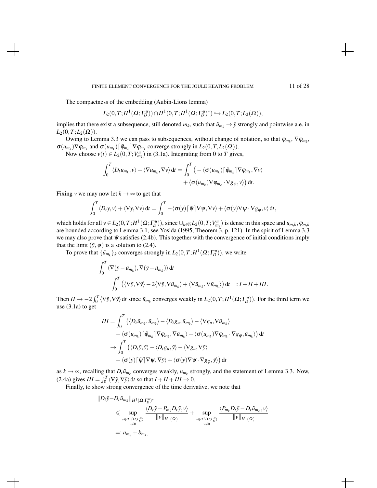#### FINITE ELEMENT CONVERGENCE FOR THE JOULE HEATING PROBLEM 11 of 28

The compactness of the embedding (Aubin-Lions lemma)

$$
L_2(0,T;H^1(\Omega; \Gamma_D^{u})) \cap H^1(0,T;H^1(\Omega; \Gamma_D^{u})^*) \hookrightarrow L_2(0,T;L_2(\Omega)),
$$

implies that there exist a subsequence, still denoted  $m_k$ , such that  $\tilde{u}_{m_k} \to \tilde{y}$  strongly and pointwise a.e. in  $L_2(0,T;L_2(\Omega)).$ 

Owing to Lemma 3.3 we can pass to subsequences, without change of notation, so that  $\varphi_{m_k}$ ,  $\nabla \varphi_{m_k}$ ,  $\sigma(u_{m_k})\nabla\varphi_{m_k}$  and  $\sigma(u_{m_k})\nabla\varphi_{m_k}$  converge strongly in  $L_2(0,T,L_2(\Omega))$ .

Now choose  $v(t) \in L_2(0, T; V^{\mu}_{m_k})$  in (3.1a). Integrating from 0 to *T* gives,

$$
\int_0^T \langle D_t u_{m_k}, v \rangle + \langle \nabla u_{m_k}, \nabla v \rangle dt = \int_0^T \left( - \langle \sigma(u_{m_k}) \lceil \tilde{\varphi}_{m_k} \rceil \nabla \varphi_{m_k}, \nabla v \rangle \right. \\ \left. + \langle \sigma(u_{m_k}) \nabla \varphi_{m_k} \cdot \nabla g_{\varphi}, v \rangle \right) dt.
$$

Fixing *v* we may now let  $k \to \infty$  to get that

$$
\int_0^T \langle D_t y, v \rangle + \langle \nabla y, \nabla v \rangle dt = \int_0^T - \langle \sigma(y) \lceil \tilde{\psi} \rceil \nabla \psi, \nabla v \rangle + \langle \sigma(y) \nabla \psi \cdot \nabla g_\varphi, v \rangle dt,
$$

which holds for all  $v \in L_2(0, T; H^1(\Omega; \Gamma_D^u))$ , since  $\cup_{k \in \mathbb{N}} L_2(0, T; V_{m_k}^u)$  is dense in this space and  $u_{m,k}, \varphi_{m,k}$ are bounded according to Lemma 3.1, see Yosida (1995, Theorem 3, p. 121). In the spirit of Lemma 3.3 we may also prove that  $\tilde{\psi}$  satisfies (2.4b). This together with the convergence of initial conditions imply that the limit  $(\tilde{y}, \tilde{\psi})$  is a solution to (2.4).

To prove that  $\{\tilde{u}_{m_k}\}_k$  converges strongly in  $L_2(0,T;H^1(\Omega; \Gamma_b^u))$ , we write

$$
\int_0^T \langle \nabla(\tilde{y} - \tilde{u}_{m_k}), \nabla(\tilde{y} - \tilde{u}_{m_k}) \rangle dt
$$
  
= 
$$
\int_0^T (\langle \nabla \tilde{y}, \nabla \tilde{y} \rangle - 2 \langle \nabla \tilde{y}, \nabla \tilde{u}_{m_k} \rangle + \langle \nabla \tilde{u}_{m_k}, \nabla \tilde{u}_{m_k} \rangle) dt =: I + II + III.
$$

Then  $II \to -2 \int_0^T \langle \nabla \tilde{y}, \nabla \tilde{y} \rangle dt$  since  $\tilde{u}_{m_k}$  converges weakly in  $L_2(0,T;H^1(\Omega; \Gamma_b^u))$ . For the third term we use (3.1a) to get

$$
III = \int_0^T (\langle D_t \tilde{u}_{m_k}, \tilde{u}_{m_k} \rangle - \langle D_t g_u, \tilde{u}_{m_k} \rangle - \langle \nabla g_u, \nabla \tilde{u}_{m_k} \rangle - \langle \sigma(u_{m_k}) \lceil \tilde{\varphi}_{m_k} \rceil \nabla \varphi_{m_k}, \nabla \tilde{u}_{m_k} \rangle + \langle \sigma(u_{m_k}) \nabla \varphi_{m_k} \cdot \nabla g_{\varphi}, \tilde{u}_{m_k} \rangle) dt \rightarrow \int_0^T (\langle D_t \tilde{y}, \tilde{y} \rangle - \langle D_t g_u, \tilde{y} \rangle - \langle \nabla g_u, \nabla \tilde{y} \rangle - \langle \sigma(y) \lceil \tilde{\psi} \rceil \nabla \psi, \nabla \tilde{y} \rangle + \langle \sigma(y) \nabla \psi \cdot \nabla g_{\varphi}, \tilde{y} \rangle) dt
$$

as  $k \to \infty$ , recalling that  $D_t \tilde{u}_{m_k}$  converges weakly,  $u_{m_k}$  strongly, and the statement of Lemma 3.3. Now,  $(2.4a)$  gives  $III = \int_0^T \langle \nabla \tilde{y}, \nabla \tilde{y} \rangle dt$  so that  $I + II + III \rightarrow 0$ .

Finally, to show strong convergence of the time derivative, we note that

$$
\|D_t \tilde{y} - D_t \tilde{u}_{m_k}\|_{H^1(\Omega; \Gamma_D^{u})^*} \n\leq \sup_{\substack{v \in H^1(\Omega; \Gamma_D^{u}) \\ v \neq 0}} \frac{\langle D_t \tilde{y} - P_{m_k} D_t \tilde{y}, v \rangle}{\|v\|_{H^1(\Omega)}} + \sup_{\substack{v \in H^1(\Omega; \Gamma_D^{u}) \\ v \neq 0}} \frac{\langle P_{m_k} D_t \tilde{y} - D_t \tilde{u}_{m_k}, v \rangle}{\|v\|_{H^1(\Omega)}} \n=: a_{m_k} + b_{m_k},
$$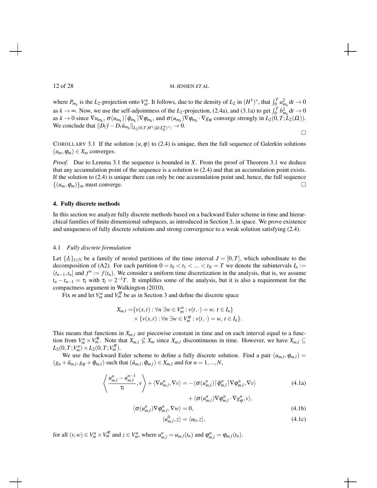where  $P_{m_k}$  is the *L*<sub>2</sub>-projection onto  $V_m^u$ . It follows, due to the density of *L*<sub>2</sub> in  $(H^1)^*$ , that  $\int_0^T a_{m_k}^2 dt \to 0$ as  $k \to \infty$ . Now, we use the self-adjointness of the *L*<sub>2</sub>-projection, (2.4a), and (3.1a) to get  $\int_0^T b_{m_k}^2 dt \to 0$ as  $k \to 0$  since  $\nabla u_{m_k}$ ,  $\sigma(u_{m_k})\lceil \tilde{\varphi}_{m_k} \rceil \nabla \varphi_{m_k}$ , and  $\sigma(u_{m_k})\nabla \varphi_{m_k} \cdot \nabla g_{\varphi}$  converge strongly in  $L_2(0,T;\tilde{L}_2(\Omega))$ . We conclude that  $||D_t \tilde{y} - D_t \tilde{u}_{m_k}||_{L_2(0,T;H^1(\Omega; \Gamma_D^u))^*)} \to 0.$  $\Box$ 

COROLLARY 3.1 If the solution  $(u, \varphi)$  to (2.4) is unique, then the full sequence of Galerkin solutions  $(u_m, \varphi_m) \in X_m$  converges.

*Proof.* Due to Lemma 3.1 the sequence is bounded in *X*. From the proof of Theorem 3.1 we deduce that any accumulation point of the sequence is a solution to (2.4) and that an accumulation point exists. If the solution to (2.4) is unique there can only be one accumulation point and, hence, the full sequence  $\{(u_m, \varphi_m)\}_m$  must converge.

#### 4. Fully discrete methods

In this section we analyze fully discrete methods based on a backward Euler scheme in time and hierarchical families of finite dimensional subspaces, as introduced in Section 3, in space. We prove existence and uniqueness of fully discrete solutions and strong convergence to a weak solution satisfying (2.4).

#### 4.1 *Fully discrete formulation*

Let  $\{J_l\}_{l \in \mathbb{N}}$  be a family of nested partitions of the time interval  $J = [0, T]$ , which subordinate to the decomposition of (A2). For each partition  $0 = t_0 < t_1 < ... < t_N = T$  we denote the subintervals  $I_n :=$  $(t_{n-1}, t_n]$  and  $f^n := f(t_n)$ . We consider a uniform time discretization in the analysis, that is, we assume  $t_n - t_{n-1} = \tau_l$  with  $\tau_l = 2^{-l}T$ . It simplifies some of the analysis, but it is also a requirement for the compactness argument in Walkington (2010).

Fix *m* and let  $V_m^u$  and  $V_m^{\varphi}$  be as in Section 3 and define the discrete space

$$
X_{m,l} = \{v(x,t) : \forall n \exists w \in V_m^u : v(t, \cdot) = w, t \in I_n\}
$$
  
 
$$
\times \{v(x,t) : \forall n \exists w \in V_m^a : v(t, \cdot) = w, t \in I_n\}.
$$

This means that functions in  $X_{m,l}$  are piecewise constant in time and on each interval equal to a function from  $V_m^u \times V_m^{\varphi}$ . Note that  $X_{m,l} \nsubseteq X_m$  since  $X_{m,l}$  discontinuous in time. However, we have  $X_{m,l} \subseteq$  $L_2(0,T;V_m^u) \times L_2(0,T;V_m^{\varphi}).$ 

We use the backward Euler scheme to define a fully discrete solution. Find a pair  $(u_{m,l}, \varphi_{m,l}) =$  $(g_u + \tilde{u}_{m,l}, g_{\varphi} + \tilde{\varphi}_{m,l})$  such that  $(\tilde{u}_{m,l}, \tilde{\varphi}_{m,l}) \in X_{m,l}$  and for  $n = 1, ..., N$ ,

$$
\left\langle \frac{u_{m,l}^{n} - u_{m,l}^{n-1}}{\tau_l}, v \right\rangle + \left\langle \nabla u_{m,l}^{n}, \nabla v \right\rangle = -\left\langle \sigma(u_{m,l}^{n}) \right| \tilde{\varphi}_{m,l}^{n} \left| \nabla \varphi_{m,l}^{n}, \nabla v \right\rangle + \left\langle \sigma(u_{m,l}^{n}) \nabla \varphi_{m,l}^{n} \cdot \nabla g_{\varphi}^{n}, v \right\rangle,
$$
\n(4.1a)

$$
\langle \sigma(u_{m,l}^n) \nabla \varphi_{m,l}^n, \nabla w \rangle = 0, \tag{4.1b}
$$

$$
\langle u_{m,l}^0, z \rangle = \langle u_0, z \rangle, \tag{4.1c}
$$

for all  $(v, w) \in V_m^u \times V_m^{\varphi}$  and  $z \in V_m^u$ , where  $u_{m,l}^n = u_{m,l}(t_n)$  and  $\varphi_{m,l}^n = \varphi_{m,l}(t_n)$ .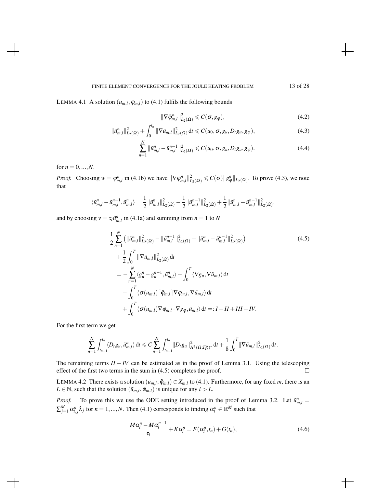LEMMA 4.1 A solution  $(u_{m,l}, \varphi_{m,l})$  to (4.1) fulfils the following bounds

$$
\|\nabla \tilde{\phi}_{m,l}^n\|_{L_2(\Omega)}^2 \leqslant C(\sigma, g_{\varphi}),\tag{4.2}
$$

$$
\|\tilde{u}_{m,l}^{n}\|_{L_2(\Omega)}^2 + \int_0^{t_n} \|\nabla \tilde{u}_{m,l}\|_{L_2(\Omega)}^2 dt \leq C(u_0, \sigma, g_u, D_t g_u, g_\varphi),
$$
\n(4.3)

$$
\sum_{n=1}^{N} \|\tilde{u}_{m,l}^{n} - \tilde{u}_{m,l}^{n-1}\|_{L_2(\Omega)}^2 \leq C(u_0, \sigma, g_u, D_t g_u, g_{\varphi}).
$$
\n(4.4)

for  $n = 0, ..., N$ .

*Proof.* Choosing  $w = \tilde{\varphi}_{m,l}^n$  in (4.1b) we have  $\|\nabla \tilde{\varphi}_{m,l}^n\|_{L_2(\Omega)}^2 \leq C(\sigma) \|g_{\varphi}^n\|_{L_2(\Omega)}^2$ . To prove (4.3), we note that

$$
\langle \tilde{u}_{m,l}^{n} - \tilde{u}_{m,l}^{n-1}, \tilde{u}_{m,l}^{n} \rangle = \frac{1}{2} ||\tilde{u}_{m,l}^{n}||_{L_2(\Omega)}^2 - \frac{1}{2} ||\tilde{u}_{m,l}^{n-1}||_{L_2(\Omega)}^2 + \frac{1}{2} ||\tilde{u}_{m,l}^{n} - \tilde{u}_{m,l}^{n-1}||_{L_2(\Omega)}^2,
$$

and by choosing  $v = \tau_l \tilde{u}_{m,l}^n$  in (4.1a) and summing from  $n = 1$  to *N* 

$$
\frac{1}{2} \sum_{n=1}^{N} \left( \|\tilde{u}_{m,l}^{n}\|_{L_{2}(\Omega)}^{2} - \|\tilde{u}_{m,l}^{n-1}\|_{L_{2}(\Omega)}^{2} + \|\tilde{u}_{m,l}^{n} - \tilde{u}_{m,l}^{n-1}\|_{L_{2}(\Omega)}^{2} \right) \n+ \frac{1}{2} \int_{0}^{T} \|\nabla \tilde{u}_{m,l}\|_{L_{2}(\Omega)}^{2} dt \n= - \sum_{n=1}^{N} \langle g_{u}^{n} - g_{u}^{n-1}, \tilde{u}_{m,l}^{n} \rangle - \int_{0}^{T} \langle \nabla g_{u}, \nabla \tilde{u}_{m,l} \rangle dt \n- \int_{0}^{T} \langle \sigma(u_{m,l}) \left[ \tilde{\varphi}_{m,l} \right] \nabla \varphi_{m,l}, \nabla \tilde{u}_{m,l} \rangle dt \n+ \int_{0}^{T} \langle \sigma(u_{m,l}) \nabla \varphi_{m,l} \cdot \nabla g_{\varphi}, \tilde{u}_{m,l} \rangle dt =: I + II + III + IV.
$$
\n(4.5)

For the first term we get

$$
\sum_{n=1}^N \int_{t_{n-1}}^{t_n} \langle D_t g_u, \tilde{u}_{m,l}^n \rangle \, \mathrm{d}t \leqslant C \sum_{n=1}^N \int_{t_{n-1}}^{t_n} \| D_t g_u \|_{H^1(\Omega; \Gamma_D^{u})^*}^2 \, \mathrm{d}t + \frac{1}{8} \int_0^T \! \| \nabla \tilde{u}_{m,l} \|_{L_2(\Omega)}^2 \, \mathrm{d}t.
$$

The remaining terms  $II - IV$  can be estimated as in the proof of Lemma 3.1. Using the telescoping effect of the first two terms in the sum in (4.5) completes the proof.  $\Box$ 

LEMMA 4.2 There exists a solution  $(\tilde{u}_{m,l}, \tilde{\varphi}_{m,l}) \in X_{m,l}$  to (4.1). Furthermore, for any fixed *m*, there is an  $L \in \mathbb{N}$ , such that the solution  $(\tilde{u}_{m,l}, \tilde{\varphi}_{m,l})$  is unique for any  $l > L$ .

*Proof.* To prove this we use the ODE setting introduced in the proof of Lemma 3.2. Let  $\tilde{u}_{m,l}^n =$  $\sum_{j=1}^{M} \alpha_{l,j}^n \lambda_j$  for  $n = 1, ..., N$ . Then (4.1) corresponds to finding  $\alpha_l^n \in \mathbb{R}^M$  such that

$$
\frac{M\alpha_l^n - M\alpha_l^{n-1}}{\tau_l} + K\alpha_l^n = F(\alpha_l^n, t_n) + G(t_n),
$$
\n(4.6)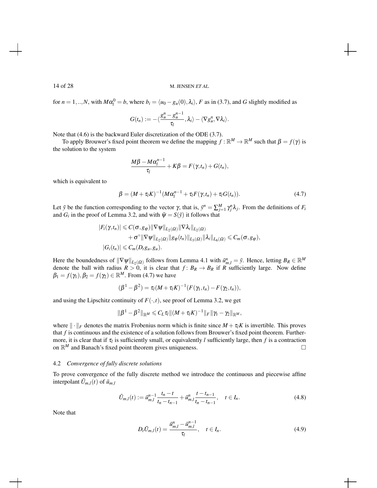for  $n = 1, ..., N$ , with  $M\alpha_l^0 = b$ , where  $b_i = \langle u_0 - g_u(0), \lambda_i \rangle$ , *F* as in (3.7), and *G* slightly modified as

$$
G(t_n):=-\langle \frac{g_u^n-g_u^{n-1}}{\tau_l},\lambda_i\rangle-\langle \nabla g_u^n,\nabla\lambda_i\rangle.
$$

Note that (4.6) is the backward Euler discretization of the ODE (3.7).

To apply Brouwer's fixed point theorem we define the mapping  $f : \mathbb{R}^M \to \mathbb{R}^M$  such that  $\beta = f(\gamma)$  is the solution to the system

$$
\frac{M\beta - M\alpha_l^{n-1}}{\tau_l} + K\beta = F(\gamma, t_n) + G(t_n),
$$

which is equivalent to

$$
\beta = (M + \tau_l K)^{-1} (M \alpha_l^{n-1} + \tau_l F(\gamma, t_n) + \tau_l G(t_n)).
$$
\n(4.7)

Let  $\tilde{y}$  be the function corresponding to the vector  $\gamma$ , that is,  $\tilde{y}^n = \sum_{j=1}^M \gamma_j^n \lambda_j$ . From the definitions of  $F_i$ and  $G_i$  in the proof of Lemma 3.2, and with  $\tilde{\psi} = S(\tilde{y})$  it follows that

$$
|F_i(\gamma, t_n)| \leq C(\sigma, g_{\varphi}) \|\nabla \psi\|_{L_2(\Omega)} \|\nabla \lambda_i\|_{L_2(\Omega)} + \sigma^{\circ} \|\nabla \psi\|_{L_2(\Omega)} \|g_{\varphi}(t_n)\|_{L_3(\Omega)} \|\lambda_i\|_{L_6(\Omega)} \leq C_m(\sigma, g_{\varphi}), |G_i(t_n)| \leq C_m(D_t g_u, g_u).
$$

Here the boundedness of  $\|\nabla \psi\|_{L_2(\Omega)}$  follows from Lemma 4.1 with  $\tilde{u}_{m,l}^n = \tilde{y}$ . Hence, letting  $B_R \in \mathbb{R}^M$ denote the ball with radius  $R > 0$ , it is clear that  $f: B_R \to B_R$  if R sufficiently large. Now define  $\beta_1 = f(\gamma_1), \beta_2 = f(\gamma_2) \in \mathbb{R}^M$ . From (4.7) we have

$$
(\beta^{1} - \beta^{2}) = \tau_{l}(M + \tau_{l}K)^{-1}(F(\gamma_{1}, t_{n}) - F(\gamma_{2}, t_{n})),
$$

and using the Lipschitz continuity of  $F(\cdot,t)$ , see proof of Lemma 3.2, we get

$$
\|\pmb\beta^1-\pmb\beta^2\|_{{\mathbb R}^M}\leqslant C_L\tau_l\|(M+\tau_lK)^{-1}\|_F\|\gamma_1-\gamma_2\|_{{\mathbb R}^M},
$$

where  $\|\cdot\|_F$  denotes the matrix Frobenius norm which is finite since  $M + \tau_l K$  is invertible. This proves that *f* is continuous and the existence of a solution follows from Brouwer's fixed point theorem. Furthermore, it is clear that if τ*<sup>l</sup>* is sufficiently small, or equivalently *l* sufficiently large, then *f* is a contraction on  $\mathbb{R}^M$  and Banach's fixed point theorem gives uniqueness.

#### 4.2 *Convergence of fully discrete solutions*

To prove convergence of the fully discrete method we introduce the continuous and piecewise affine interpolant  $\tilde{U}_{m,l}(t)$  of  $\tilde{u}_{m,l}$ 

$$
\tilde{U}_{m,l}(t) := \tilde{u}_{m,l}^{n-1} \frac{t_n - t}{t_n - t_{n-1}} + \tilde{u}_{m,l}^n \frac{t - t_{n-1}}{t_n - t_{n-1}}, \quad t \in I_n.
$$
\n
$$
(4.8)
$$

Note that

$$
D_t \tilde{U}_{m,l}(t) = \frac{\tilde{u}_{m,l}^n - \tilde{u}_{m,l}^{n-1}}{\tau_l}, \quad t \in I_n.
$$
\n
$$
(4.9)
$$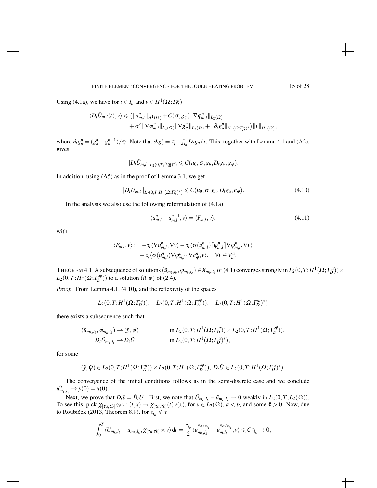Using (4.1a), we have for  $t \in I_n$  and  $v \in H^1(\Omega; \Gamma_D^u)$ 

$$
\langle D_t \tilde{U}_{m,l}(t), v \rangle \leq (||u_{m,l}^n||_{H^1(\Omega)} + C(\sigma, g_{\varphi}) ||\nabla \varphi_{m,l}^n||_{L_2(\Omega)} + \sigma^{\circ} ||\nabla \varphi_{m,l}^n||_{L_2(\Omega)} ||\nabla g_{\varphi}^n||_{L_3(\Omega)} + ||\partial_t g_{u}^n||_{H^1(\Omega; \Gamma_{D}^{u})^*}) ||v||_{H^1(\Omega)}
$$

where  $\partial_t g_u^n = (g_u^n - g_u^{n-1})/\tau_l$ . Note that  $\partial_t g_u^n = \tau_l^{-1} \int_{I_n} D_t g_u dt$ . This, together with Lemma 4.1 and (A2), gives

$$
||D_t\tilde{U}_{m,l}||_{L_2(0,T;(V_m^u)^*)}\leqslant C(u_0,\sigma,g_u,D_tg_u,g_\varphi).
$$

In addition, using (A5) as in the proof of Lemma 3.1, we get

$$
||D_t\tilde{U}_{m,l}||_{L_2(0,T;H^1(\Omega;L_b^u)^*)} \leq C(u_0,\sigma,g_u,D_tg_u,g_\varphi). \tag{4.10}
$$

In the analysis we also use the following reformulation of (4.1a)

$$
\langle u_{m,l}^n - u_{m,l}^{n-1}, v \rangle = \langle F_{m,l}, v \rangle, \tag{4.11}
$$

with

$$
\langle F_{m,l}, v \rangle := -\tau_l \langle \nabla u_{m,l}^n, \nabla v \rangle - \tau_l \langle \sigma(u_{m,l}^n) \lceil \tilde{\varphi}_{m,l}^n \rceil \nabla \varphi_{m,l}^n, \nabla v \rangle + \tau_l \langle \sigma(u_{m,l}^n) \nabla \varphi_{m,l}^n \cdot \nabla g_{\varphi}^n, v \rangle, \quad \forall v \in V_m^u.
$$

THEOREM 4.1 A subsequence of solutions  $(\tilde{u}_{m_k,l_k}, \tilde{\phi}_{m_k,l_k}) \in X_{m_k,l_k}$  of (4.1) converges strongly in  $L_2(0,T;H^1(\Omega; \Gamma_D^u)) \times$  $L_2(0,T;H^1(\Omega; \Gamma_D^{\varphi}))$  to a solution  $(\tilde{u}, \tilde{\varphi})$  of (2.4).

*Proof.* From Lemma 4.1, (4.10), and the reflexivity of the spaces

$$
L_2(0,T;H^1(\Omega; \Gamma_D^{u})), \quad L_2(0,T;H^1(\Omega; \Gamma_D^{\phi})), \quad L_2(0,T;H^1(\Omega; \Gamma_D^{u})^*)
$$

there exists a subsequence such that

$$
\begin{aligned}\n(\tilde{u}_{m_k,l_k},\tilde{\varphi}_{m_k,l_k}) &\rightharpoonup (\tilde{y},\tilde{\psi}) & \text{in } L_2(0,T;H^1(\Omega; \Gamma_D^{\mu})) \times L_2(0,T;H^1(\Omega; \Gamma_D^{\phi})),\\
D_l \tilde{U}_{m_k,l_k} &\rightharpoonup D_l \tilde{U} & \text{in } L_2(0,T;H^1(\Omega; \Gamma_D^{\mu})^*),\n\end{aligned}
$$

for some

$$
(\tilde{y},\tilde{\psi})\in L_2(0,T;H^1(\Omega; \Gamma_D^{u}))\times L_2(0,T;H^1(\Omega; \Gamma_D^{\phi})), D_t\tilde{U}\in L_2(0,T;H^1(\Omega; \Gamma_D^{u})^*).
$$

The convergence of the initial conditions follows as in the semi-discrete case and we conclude  $u_{m_k, l_k}^0 \to y(0) = u(0).$ 

Next, we prove that  $D_t \tilde{y} = \tilde{D}_t U$ . First, we note that  $\tilde{U}_{m_k,l_k} - \tilde{u}_{m_k,l_k} \rightharpoonup 0$  weakly in  $L_2(0,T;L_2(\Omega))$ . To see this, pick  $\chi_{[\bar{\tau}a,\bar{\tau}b]} \otimes v : (t,x) \mapsto \chi_{[\bar{\tau}a,\bar{\tau}b]}(t) v(x)$ , for  $v \in L_2(\Omega)$ ,  $a < b$ , and some  $\bar{\tau} > 0$ . Now, due to Roubíček (2013, Theorem 8.9), for  $\tau_{l_k} \leq \bar{\tau}$ 

$$
\int_0^T \langle \tilde{U}_{m_k,l_k}-\tilde{u}_{m_k,l_k}, \chi_{[\bar{\tau}a,\bar{\tau}b]} \otimes v \rangle dt = \frac{\tau_{l_k}}{2} \langle \tilde{u}_{m_k,l_k}^{\bar{\tau}b/\tau_{l_k}} - \tilde{u}_{m,l_k}^{\bar{\tau}a/\tau_{l_k}}, v \rangle \leq C \tau_{l_k} \to 0,
$$

,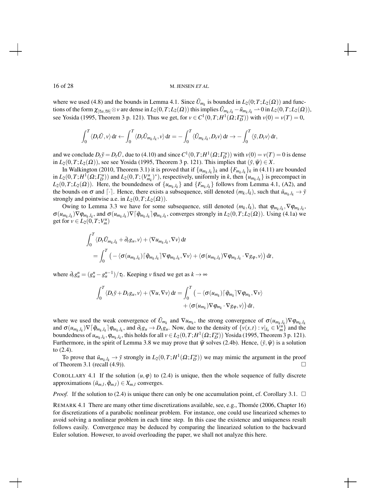where we used (4.8) and the bounds in Lemma 4.1. Since  $\tilde{U}_{m_k}$  is bounded in  $L_2(0;T;L_2(\Omega))$  and functions of the form  $\chi_{[\bar{\tau}a,\bar{\tau}b]} \otimes v$  are dense in  $L_2(0,T;L_2(\Omega))$  this implies  $\tilde{U}_{m_k,l_k} - \tilde{u}_{m_k,l_k} \to 0$  in  $L_2(0,T;L_2(\Omega))$ , see Yosida (1995, Theorem 3 p. 121). Thus we get, for  $v \in C^1(0,T;H^1(\Omega; \Gamma_D^u))$  with  $v(0) = v(T) = 0$ ,

$$
\int_0^T \langle D_t \tilde U, v \rangle \, \mathrm{d} t \leftarrow \int_0^T \langle D_t \tilde U_{m_k, l_k}, v \rangle \, \mathrm{d} t = - \int_0^T \langle \tilde U_{m_k, l_k}, D_t v \rangle \, \mathrm{d} t \rightarrow - \int_0^T \langle \tilde y, D_t v \rangle \, \mathrm{d} t,
$$

and we conclude  $D_t \tilde{y} = D_t \tilde{U}$ , due to (4.10) and since  $C^1(0,T;H^1(\Omega; \Gamma_b^u))$  with  $v(0) = v(T) = 0$  is dense in  $L_2(0,T;L_2(\Omega))$ , see see Yosida (1995, Theorem 3 p. 121). This implies that  $(\tilde{y}, \tilde{\psi}) \in X$ .

In Walkington (2010, Theorem 3.1) it is proved that if  $\{u_{m_k,l_k}\}_k$  and  $\{F_{m_k,l_k}\}_k$  in (4.11) are bounded in  $L_2(0,T;H^1(\Omega; \Gamma_D^u))$  and  $L_2(0,T; (V_{m_k}^u)^*)$ , respectively, uniformly in k, then  $\{u_{m_k,l_k}\}\$  is precompact in  $L_2(0,T;L_2(\Omega))$ . Here, the boundedness of  $\{u_{m_k,l_k}\}\$  and  $\{F_{m_k,l_k}\}\$  follows from Lemma 4.1, (A2), and the bounds on  $\sigma$  and  $[\cdot]$ . Hence, there exists a subsequence, still denoted  $(m_k, l_k)$ , such that  $\tilde{u}_{m_k, l_k} \to \tilde{y}$ strongly and pointwise a.e. in  $L_2(0,T;L_2(\Omega))$ .

Owing to Lemma 3.3 we have for some subsequence, still denoted  $(m_k, l_k)$ , that  $\varphi_{m_k, l_k}, \nabla \varphi_{m_k, l_k}$ ,  $\sigma(u_{m_k,l_k})\nabla\varphi_{m_k,l_k}$ , and  $\sigma(u_{m_k,l_k})\nabla[\tilde{\varphi}_{m_k,l_k}]\varphi_{m_k,l_k}$ , converges strongly in  $L_2(0,T;L_2(\Omega))$ . Using (4.1a) we get for  $v \in L_2(0, T; V_m^u)$ 

$$
\int_0^T \langle D_t \tilde{U}_{m_k,l_k} + \partial_t g_u, v \rangle + \langle \nabla u_{m_k,l_k}, \nabla v \rangle dt
$$
  
= 
$$
\int_0^T \left( - \langle \sigma(u_{m_k,l_k}) \left[ \tilde{\varphi}_{m_k,l_k} \right] \nabla \varphi_{m_k,l_k}, \nabla v \rangle + \langle \sigma(u_{m_k,l_k}) \nabla \varphi_{m_k,l_k} \cdot \nabla g_{\varphi}, v \rangle \right) dt,
$$

where  $\partial_t g_u^n = \left( g_u^n - g_u^{n-1} \right) / \tau_l$ . Keeping *v* fixed we get as  $k \to \infty$ 

$$
\int_0^T \langle D_t \tilde{y} + D_t g_u, v \rangle + \langle \nabla u, \nabla v \rangle dt = \int_0^T \left( - \langle \sigma(u_{m_k}) \lceil \tilde{\varphi}_{m_k} \rceil \nabla \varphi_{m_k}, \nabla v \rangle + \langle \sigma(u_{m_k}) \nabla \varphi_{m_k} \cdot \nabla g_{\varphi}, v \rangle \right) dt,
$$

where we used the weak convergence of  $\tilde{U}_{m_k}$  and  $\nabla u_{m_k}$ , the strong convergence of  $\sigma(u_{m_k,l_k})\nabla\varphi_{m_k,l_k}$ and  $\sigma(u_{m_k,l_k})\nabla[\tilde{\varphi}_{m_k,l_k}]\varphi_{m_k,l_k}$ , and  $\partial_t g_u \to D_t g_u$ . Now, due to the density of  $\{v(x,t): v|_{I_n} \in V_m^u\}$  and the boundedness of  $u_{m_k,l_k}$ ,  $\varphi_{m_k,l_k}$ , this holds for all  $v \in L_2(0,T;H^1(\Omega;\Gamma_D^u))$  Yosida (1995, Theorem 3 p. 121). Furthermore, in the spirit of Lemma 3.8 we may prove that  $\tilde{\psi}$  solves (2.4b). Hence,  $(\tilde{y}, \tilde{\psi})$  is a solution to (2.4).

To prove that  $\tilde{u}_{m_k,l_k} \to \tilde{y}$  strongly in  $L_2(0,T;H^1(\Omega; \Gamma_D^u))$  we may mimic the argument in the proof of Theorem 3.1 (recall  $(4.9)$ ).

COROLLARY 4.1 If the solution  $(u, \varphi)$  to (2.4) is unique, then the whole sequence of fully discrete approximations  $(\tilde{u}_{m,l}, \tilde{\varphi}_{m,l}) \in X_{m,l}$  converges.

*Proof.* If the solution to (2.4) is unique there can only be one accumulation point, cf. Corollary 3.1.  $\Box$ 

REMARK 4.1 There are many other time discretizations available, see, e.g., Thomée (2006, Chapter 16) for discretizations of a parabolic nonlinear problem. For instance, one could use linearized schemes to avoid solving a nonlinear problem in each time step. In this case the existence and uniqueness result follows easily. Convergence may be deduced by comparing the linearized solution to the backward Euler solution. However, to avoid overloading the paper, we shall not analyze this here.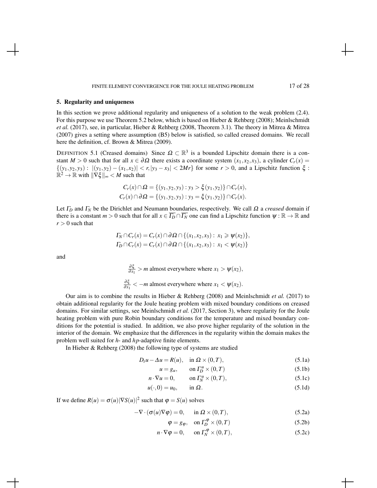#### 5. Regularity and uniqueness

In this section we prove additional regularity and uniqueness of a solution to the weak problem (2.4). For this purpose we use Theorem 5.2 below, which is based on Hieber & Rehberg (2008); Meinlschmidt *et al.* (2017), see, in particular, Hieber & Rehberg (2008, Theorem 3.1). The theory in Mitrea & Mitrea (2007) gives a setting where assumption (B5) below is satisfied, so called creased domains. We recall here the definition, cf. Brown & Mitrea (2009).

DEFINITION 5.1 (Creased domains) Since  $\Omega \subset \mathbb{R}^3$  is a bounded Lipschitz domain there is a constant *M* > 0 such that for all  $x \in \partial \Omega$  there exists a coordinate system  $(x_1, x_2, x_3)$ , a cylinder  $C_r(x)$  =  $\{(y_1, y_2, y_3) : |(y_1, y_2) - (x_1, x_2)| < r, |y_3 - x_3| < 2Mr\}$  for some  $r > 0$ , and a Lipschitz function  $\xi$ :  $\mathbb{R}^2 \to \mathbb{R}$  with  $\|\nabla \xi\|_{\infty} < M$  such that

$$
C_r(x) \cap \Omega = \{(y_1, y_2, y_3) : y_3 > \xi(y_1, y_2)\} \cap C_r(x),
$$
  

$$
C_r(x) \cap \partial \Omega = \{(y_1, y_2, y_3) : y_3 = \xi(y_1, y_2)\} \cap C_r(x).
$$

Let Γ*<sup>D</sup>* and Γ*<sup>N</sup>* be the Dirichlet and Neumann boundaries, respectively. We call Ω a *creased* domain if there is a constant  $m > 0$  such that for all  $x \in \overline{I_D} \cap \overline{I_N}$  one can find a Lipschitz function  $\psi : \mathbb{R} \to \mathbb{R}$  and  $r > 0$  such that

$$
\Gamma_N \cap C_r(x) = C_r(x) \cap \partial \Omega \cap \{(x_1, x_2, x_3) : x_1 \ge \psi(x_2)\}, \n\Gamma_D \cap C_r(x) = C_r(x) \cap \partial \Omega \cap \{(x_1, x_2, x_3) : x_1 < \psi(x_2)\}
$$

and

$$
\frac{\partial \xi}{\partial x_1} > m \text{ almost everywhere where } x_1 > \psi(x_2),
$$
  

$$
\frac{\partial \xi}{\partial x_1} < -m \text{ almost everywhere where } x_1 < \psi(x_2).
$$

Our aim is to combine the results in Hieber & Rehberg (2008) and Meinlschmidt *et al.* (2017) to obtain additional regularity for the Joule heating problem with mixed boundary conditions on creased domains. For similar settings, see Meinlschmidt *et al.* (2017, Section 3), where regularity for the Joule heating problem with pure Robin boundary conditions for the temperature and mixed boundary conditions for the potential is studied. In addition, we also prove higher regularity of the solution in the interior of the domain. We emphasize that the differences in the regularity within the domain makes the problem well suited for *h*- and *hp*-adaptive finite elements.

In Hieber & Rehberg (2008) the following type of systems are studied

$$
D_t u - \Delta u = R(u), \quad \text{in } \Omega \times (0, T), \tag{5.1a}
$$

$$
u = g_u, \qquad \text{on } \Gamma_D^u \times (0, T) \tag{5.1b}
$$

$$
n \cdot \nabla u = 0, \qquad \text{on } \Gamma_N^u \times (0, T), \tag{5.1c}
$$

$$
u(\cdot,0) = u_0, \qquad \text{in } \Omega. \tag{5.1d}
$$

If we define  $R(u) = \sigma(u) |\nabla S(u)|^2$  such that  $\varphi = S(u)$  solves

$$
-\nabla \cdot (\sigma(u)\nabla \varphi) = 0, \quad \text{in } \Omega \times (0,T), \tag{5.2a}
$$

$$
\varphi = g_{\varphi}, \quad \text{on } \Gamma_D^{\varphi} \times (0, T) \tag{5.2b}
$$

$$
n \cdot \nabla \varphi = 0, \qquad \text{on } \Gamma_N^{\varphi} \times (0, T), \tag{5.2c}
$$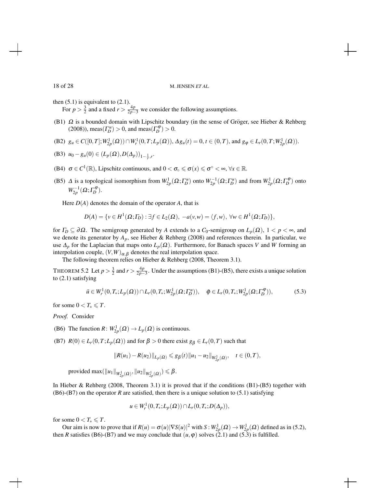then  $(5.1)$  is equivalent to  $(2.1)$ .

For  $p > \frac{3}{2}$  and a fixed  $r > \frac{4p}{2p-3}$  we consider the following assumptions.

- (B1)  $\Omega$  is a bounded domain with Lipschitz boundary (in the sense of Gröger, see Hieber & Rehberg (2008)), meas( $\Gamma_D^u$ ) > 0, and meas( $\Gamma_D^{\phi}$ ) > 0.
- (B2)  $g_u \in C([0,T];W^1_{2p}(\Omega)) \cap W^1_r(0,T;L_p(\Omega)), \Delta g_u(t) = 0, t \in (0,T),$  and  $g_\phi \in L_r(0,T;W^1_{2p}(\Omega)).$
- (B3)  $u_0 g_u(0) \in (L_p(\Omega), D(\Delta_p))_{1-\frac{1}{r},r}$ .
- (B4)  $\sigma \in C^1(\mathbb{R})$ , Lipschitz continuous, and  $0 < \sigma_\circ \leq \sigma(x) \leq \sigma^\circ < \infty$ ,  $\forall x \in \mathbb{R}$ .
- (B5)  $\Delta$  is a topological isomorphism from  $W_{2p}^1(\Omega; \Gamma_B^u)$  onto  $W_{2p}^{-1}(\Omega; \Gamma_B^u)$  and from  $W_{2p}^1(\Omega; \Gamma_D^{\varphi})$  onto  $W^{-1}_{2p}(\Omega; \Gamma_D^{\varphi}).$

Here  $D(A)$  denotes the domain of the operator  $A$ , that is

$$
D(A) = \{v \in H^1(\Omega; \Gamma_D) : \exists f \in L_2(\Omega), -a(v, w) = \langle f, w \rangle, \ \forall w \in H^1(\Omega; \Gamma_D)\},\
$$

for  $\Gamma_D \subseteq \partial \Omega$ . The semigroup generated by A extends to a  $C_0$ -semigroup on  $L_p(\Omega)$ ,  $1 < p < \infty$ , and we denote its generator by  $A_p$ , see Hieber & Rehberg (2008) and references therein. In particular, we use  $\Delta_p$  for the Laplacian that maps onto  $L_p(\Omega)$ . Furthermore, for Banach spaces *V* and *W* forming an interpolation couple,  $(V, W)_{\alpha, \beta}$  denotes the real interpolation space.

The following theorem relies on Hieber & Rehberg (2008, Theorem 3.1).

THEOREM 5.2 Let  $p > \frac{3}{2}$  and  $r > \frac{4p}{2p-3}$ . Under the assumptions (B1)-(B5), there exists a unique solution to (2.1) satisfying

$$
\tilde{u} \in W_r^1(0, T_*; L_p(\Omega)) \cap L_r(0, T_*; W_{2p}^1(\Omega; \Gamma_D^u)), \quad \tilde{\varphi} \in L_r(0, T_*; W_{2p}^1(\Omega; \Gamma_D^{\varphi})), \tag{5.3}
$$

for some  $0 < T_* \le T$ .

*Proof.* Consider

(B6) The function  $R: W^1_{2p}(\Omega) \to L_p(\Omega)$  is continuous.

(B7)  $R(0) \in L_r(0,T; L_p(\Omega))$  and for  $\beta > 0$  there exist  $g_\beta \in L_r(0,T)$  such that

$$
||R(u_1)-R(u_2)||_{L_p(\Omega)} \leq g_\beta(t)||u_1-u_2||_{W_{2p}^1(\Omega)}, \quad t \in (0,T),
$$

 $\text{provided } \max(\|u_1\|_{W^1_{2p}(\Omega)}, \|u_2\|_{W^1_{2p}(\Omega)}) \leq \beta.$ 

In Hieber & Rehberg (2008, Theorem 3.1) it is proved that if the conditions (B1)-(B5) together with  $(B6)-(B7)$  on the operator *R* are satisfied, then there is a unique solution to  $(5.1)$  satisfying

$$
u\in W_r^1(0,T_*;L_p(\Omega))\cap L_r(0,T_*;D(\Delta_p)),
$$

for some  $0 < T_* \le T$ .

Our aim is now to prove that if  $R(u) = \sigma(u)|\nabla S(u)|^2$  with  $S: W^1_{2p}(\Omega) \to W^1_{2p}(\Omega)$  defined as in (5.2), then *R* satisfies (B6)-(B7) and we may conclude that  $(u, \varphi)$  solves (2.1) and (5.3) is fulfilled.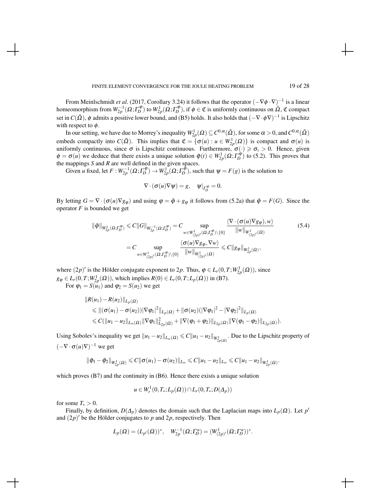From Meinlschmidt *et al.* (2017, Corollary 3.24) it follows that the operator  $(-\nabla\phi \cdot \nabla)^{-1}$  is a linear homeomorphism from  $W^{-1}_{2p}(\Omega; \Gamma^{\phi}_D)$  to  $W^1_{2p}(\Omega; \Gamma^{\phi}_D)$ , if  $\phi \in \mathfrak{C}$  is uniformly continuous on  $\overline{\Omega}$ ,  $\mathfrak{C}$  compact set in  $C(\bar{\Omega})$ ,  $\phi$  admits a positive lower bound, and (B5) holds. It also holds that  $(-\nabla \cdot \phi \nabla)^{-1}$  is Lipschitz with respect to  $\phi$ .

In our setting, we have due to Morrey's inequality  $W_{2p}^1(\Omega)\subseteq C^{0,\alpha}(\bar{\Omega}),$  for some  $\alpha>0,$  and  $C^{0,\alpha}(\bar{\Omega})$ embeds compactly into  $C(\overline{\Omega})$ . This implies that  $\mathfrak{C} = \{ \sigma(u) : u \in W^1_{2p}(\Omega) \}$  is compact and  $\sigma(u)$  is uniformly continuous, since  $\sigma$  is Lipschitz continuous. Furthermore,  $\sigma(\cdot) \geq \sigma_0 > 0$ . Hence, given  $\phi = \sigma(u)$  we deduce that there exists a unique solution  $\tilde{\phi}(t) \in W_{2p}^1(\Omega; \Gamma_D^{\phi})$  to (5.2). This proves that the mappings *S* and *R* are well defined in the given spaces.

Given *u* fixed, let  $F: W_{2p}^{-1}(\Omega; \Gamma_D^{\phi}) \to W_{2p}^1(\Omega; \Gamma_D^{\hat{\phi}})$ , such that  $\psi = F(g)$  is the solution to

$$
\nabla \cdot (\sigma(u)\nabla \psi) = g, \quad \psi|_{\Gamma_D^{\phi}} = 0.
$$

By letting  $G = \nabla \cdot (\sigma(u)\nabla g_{\varphi})$  and using  $\varphi = \tilde{\varphi} + g_{\varphi}$  it follows from (5.2a) that  $\tilde{\varphi} = F(G)$ . Since the operator *F* is bounded we get

$$
\|\tilde{\varphi}\|_{W_{2p}^1(\Omega; \Gamma_D^{\varphi})} \leq C \|G\|_{W_{2p}^{-1}(\Omega; \Gamma_D^{\varphi})} = C \sup_{w \in W_{(2p)'}^1(\Omega; \Gamma_D^{\varphi}) \setminus \{0\}} \frac{\langle \nabla \cdot (\sigma(u)\nabla g_{\varphi}), w \rangle}{\|w\|_{W_{(2p)'}^1(\Omega)}} \qquad (5.4)
$$

$$
= C \sup_{w \in W_{(2p)'}^1(\Omega; \Gamma_D^{\varphi}) \setminus \{0\}} \frac{\langle \sigma(u)\nabla g_{\varphi}, \nabla w \rangle}{\|w\|_{W_{(2p)'}^1(\Omega)}} \leq C \|g_{\varphi}\|_{W_{2p}^1(\Omega)},
$$

where  $(2p)'$  is the Hölder conjugate exponent to 2p. Thus,  $\varphi \in L_r(0,T;W^1_{2p}(\Omega))$ , since  $g_{\phi} \in L_r(0, T; W^1_{2p}(\Omega))$ , which implies  $R(0) \in L_r(0, T; L_p(\Omega))$  in (B7).

For  $\varphi_1 = S(u_1)$  and  $\varphi_2 = S(u_2)$  we get

$$
\|R(u_1) - R(u_2)\|_{L_p(\Omega)}
$$
  
\n
$$
\leq \|(\sigma(u_1) - \sigma(u_2))|\nabla \varphi_1|^2\|_{L_p(\Omega)} + \|\sigma(u_2)(|\nabla \varphi_1|^2 - |\nabla \varphi_2|^2\|_{L_p(\Omega)}
$$
  
\n
$$
\leq C(\|u_1 - u_2\|_{L_\infty(\Omega)} \|\nabla \varphi_1\|_{L_{2p}(\Omega)}^2 + \|\nabla (\varphi_1 + \varphi_2)\|_{L_{2p}(\Omega)} \|\nabla (\varphi_1 - \varphi_2)\|_{L_{2p}(\Omega)}).
$$

Using Sobolev's inequality we get  $||u_1 - u_2||_{L_{\infty}(\Omega)} \leq C||u_1 - u_2||_{W^1_{2p(\Omega)}}$ . Due to the Lipschitz property of  $(-\nabla \cdot \sigma(u)\nabla)^{-1}$  we get

$$
\|\tilde{\varphi}_1-\tilde{\varphi}_2\|_{W^1_{2p}(\Omega)} \leq C\|\sigma(u_1)-\sigma(u_2)\|_{L_\infty} \leq C\|u_1-u_2\|_{L_\infty} \leq C\|u_1-u_2\|_{W^1_{2p}(\Omega)}.
$$

which proves (B7) and the continuity in (B6). Hence there exists a unique solution

$$
u\in W_r^1(0,T_*;L_p(\Omega))\cap L_r(0,T_*;D(\Delta_p))
$$

for some  $T_* > 0$ .

Finally, by definition,  $D(\Delta_p)$  denotes the domain such that the Laplacian maps into  $L_p(\Omega)$ . Let  $p'$ and  $(2p)'$  be the Hölder conjugates to p and  $2p$ , respectively. Then

$$
L_p(\Omega)=(L_{p'}(\Omega))^*,\quad W_{2p}^{-1}(\Omega;\varGamma_D^u)=(W_{(2p)'}^1(\Omega;\varGamma_D^u))^*.
$$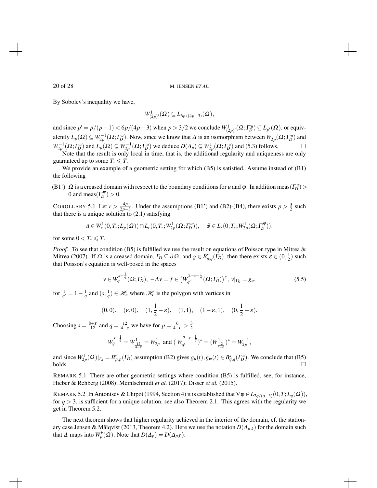By Sobolev's inequality we have,

$$
W^1_{(2p)'}(\Omega) \subseteq L_{6p/(4p-3)}(\Omega),
$$

and since  $p' = p/(p-1) < 6p/(4p-3)$  when  $p > 3/2$  we conclude  $W^1_{(2p)'}(\Omega; \Gamma^u_D) \subseteq L_{p'}(\Omega)$ , or equivalently  $L_p(\Omega) \subseteq W_{2p}^{-1}(\Omega; \Gamma_D^u)$ . Now, since we know that  $\Delta$  is an isomorphism between  $W_{2p}^1(\Omega; \Gamma_D^u)$  and  $W_{2p}^{-1}(\Omega; \Gamma_D^u)$  and  $L_p(\Omega) \subseteq W_{2p}^{-1}(\Omega; \Gamma_D^u)$  we deduce  $D(\Delta_p) \subseteq W_{2p}^1(\Omega; \Gamma_D^u)$  and (5.3) follows.

Note that the result is only local in time, that is, the additional regularity and uniqueness are only guaranteed up to some  $T_* \le T$ .

We provide an example of a geometric setting for which (B5) is satisfied. Assume instead of (B1) the following

(B1<sup>'</sup>)  $\Omega$  is a creased domain with respect to the boundary conditions for *u* and *φ*. In addition meas( $\Gamma_D^u$ ) > 0 and meas $(\Gamma_D^{\varphi}) > 0$ .

COROLLARY 5.1 Let  $r > \frac{4p}{2p-3}$ . Under the assumptions (B1') and (B2)-(B4), there exists  $p > \frac{3}{2}$  such that there is a unique solution to  $(2.1)$  satisfying

$$
\tilde{u} \in W_r^1(0,T_*;L_p(\Omega)) \cap L_r(0,T_*;W_{2p}^1(\Omega; \Gamma_D^{u})), \quad \tilde{\varphi} \in L_r(0,T_*;W_{2p}^1(\Omega; \Gamma_D^{\varphi})),
$$

for some  $0 < T_* \le T$ .

*Proof.* To see that condition (B5) is fulfilled we use the result on equations of Poisson type in Mitrea & Mitrea (2007). If  $\Omega$  is a creased domain,  $\Gamma_D \subseteq \partial \Omega$ , and  $g \in B_{q,q}^s(\Gamma_D)$ , then there exists  $\varepsilon \in (0, \frac{1}{2})$  such that Poisson's equation is well-posed in the spaces

$$
v \in W_q^{s + \frac{1}{q}}(\Omega; \Gamma_D), \ -\Delta v = f \in \left(W_{q'}^{2-s-\frac{1}{q}}(\Omega; \Gamma_D)\right)^*, \ v|_{\Gamma_D} = g_u,
$$
\n
$$
(5.5)
$$

for  $\frac{1}{q'} = 1 - \frac{1}{q}$  and  $(s, \frac{1}{q}) \in \mathcal{H}_{\epsilon}$  where  $\mathcal{H}_{\epsilon}$  is the polygon with vertices in

$$
(0,0), \quad (\varepsilon,0), \quad (1,\frac{1}{2}-\varepsilon), \quad (1,1), \quad (1-\varepsilon,1), \quad (0,\frac{1}{2}+\varepsilon).
$$

Choosing  $s = \frac{8+\epsilon}{12}$  and  $q = \frac{12}{4-\epsilon}$  we have for  $p = \frac{6}{4-\epsilon} > \frac{3}{2}$ 

$$
W_q^{s+\frac{1}{q}} = W^1_{\frac{12}{4-\epsilon}} = W^1_{2p} \text{ and } (W_{q'}^{2-s-\frac{1}{q}})^* = (W^1_{\frac{12}{8+\epsilon}})^* = W_{2p}^{-1},
$$

and since  $W_{2p}^1(\Omega)|_{\Gamma_d} = B_{p,p}^s(\Gamma_D)$  assumption (B2) gives  $g_u(t), g_\varphi(t) \in B_{q,q}^s(\Gamma_D^u)$ . We conclude that (B5) holds.  $\square$ 

REMARK 5.1 There are other geometric settings where condition (B5) is fulfilled, see, for instance, Hieber & Rehberg (2008); Meinlschmidt *et al.* (2017); Disser *et al.* (2015).

REMARK 5.2 In Antontsev & Chipot (1994, Section 4) it is established that  $\nabla \varphi \in L_{2q/(q-3)}(0,T;L_q(\Omega))$ , for  $q > 3$ , is sufficient for a unique solution, see also Theorem 2.1. This agrees with the regularity we get in Theorem 5.2.

The next theorem shows that higher regularity achieved in the interior of the domain, cf. the stationary case Jensen & Målqvist (2013, Theorem 4.2). Here we use the notation  $D(\Delta_{p,k})$  for the domain such that  $\Delta$  maps into  $W_p^k(\Omega)$ . Note that  $D(\Delta_p) = D(\Delta_{p,0})$ .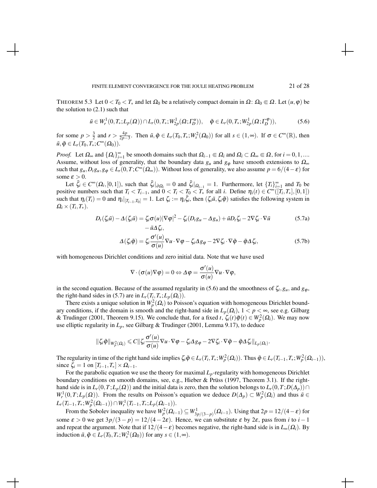THEOREM 5.3 Let  $0 < T_0 < T_*$  and let  $\Omega_0$  be a relatively compact domain in  $\Omega: \Omega_0 \subseteq \Omega$ . Let  $(u, \varphi)$  be the solution to  $(2.1)$  such that

$$
\tilde{u} \in W_r^1(0, T_*; L_p(\Omega)) \cap L_r(0, T_*; W_{2p}^1(\Omega; \Gamma_D^u)), \quad \tilde{\varphi} \in L_r(0, T_*; W_{2p}^1(\Omega; \Gamma_D^{\varphi})), \tag{5.6}
$$

for some  $p > \frac{3}{2}$  and  $r > \frac{4p}{2p-3}$ . Then  $\tilde{u}, \tilde{\varphi} \in L_r(T_0, T_*)W_s^2(\Omega_0)$  for all  $s \in (1, \infty)$ . If  $\sigma \in C^{\infty}(\mathbb{R})$ , then  $\tilde{u}, \tilde{\varphi} \in L_r(T_0, T_*; C^{\infty}(\Omega_0)).$ 

*Proof.* Let  $\Omega_{\infty}$  and  $\{\Omega_i\}_{i=1}^{\infty}$  be smooth domains such that  $\Omega_{i-1} \subseteq \Omega_i$  and  $\Omega_i \subset \Omega_{\infty} \subseteq \Omega$ , for  $i = 0, 1, \dots$ Assume, without loss of generality, that the boundary data  $g_u$  and  $g_\phi$  have smooth extensions to  $\Omega_\infty$ such that  $g_u, D_t g_u, g_\phi \in L_r(0,T; C^\infty(\Omega_\infty))$ . Without loss of generality, we also assume  $p = 6/(4-\varepsilon)$  for some  $\varepsilon > 0$ .

Let  $\bar{\zeta}_i \in C^\infty(\Omega_i, [0,1])$ , such that  $\bar{\zeta}_i|_{\partial \Omega_i} = 0$  and  $\bar{\zeta}_i|_{\Omega_{i-1}} = 1$ . Furthermore, let  $\{T_i\}_{i=1}^\infty$  and  $T_0$  be positive numbers such that  $T_i < T_{i-1}$ , and  $0 < T_i < T_0 < T_*$  for all *i*. Define  $\eta_i(t) \in C^\infty([T_i, T_*], [0, 1])$ such that  $\eta_i(T_i) = 0$  and  $\eta_i|_{[T_{i-1},T_0]} = 1$ . Let  $\zeta_i := \eta_i \overline{\zeta_i}$ , then  $(\zeta_i \tilde{u}, \zeta_i \tilde{\phi})$  satisfies the following system in  $\Omega_i \times (T_i, T_*)$ .

$$
D_t(\zeta_i \tilde{u}) - \Delta(\zeta_i \tilde{u}) = \zeta_i \sigma(u) |\nabla \varphi|^2 - \zeta_i (D_t g_u - \Delta g_u) + \tilde{u} D_t \zeta_i - 2 \nabla \zeta_i \cdot \nabla \tilde{u}
$$
(5.7a)  

$$
-\tilde{u} \Delta \zeta_i,
$$

$$
\Delta(\zeta_i \tilde{\varphi}) = \zeta_i \frac{\sigma'(u)}{\sigma(u)} \nabla u \cdot \nabla \varphi - \zeta_i \Delta g_{\varphi} - 2 \nabla \zeta_i \cdot \nabla \tilde{\varphi} - \tilde{\varphi} \Delta \zeta_i, \qquad (5.7b)
$$

with homogeneous Dirichlet conditions and zero initial data. Note that we have used

$$
\nabla \cdot (\sigma(u)\nabla \varphi) = 0 \Leftrightarrow \Delta \varphi = \frac{\sigma'(u)}{\sigma(u)} \nabla u \cdot \nabla \varphi,
$$

in the second equation. Because of the assumed regularity in (5.6) and the smoothness of  $\zeta_i$ ,  $g_u$ , and  $g_\varphi$ , the right-hand sides in (5.7) are in  $L_r(T_i, T_*; L_p(\Omega_i))$ .

There exists a unique solution in  $W_p^2(\Omega_i)$  to Poisson's equation with homogeneous Dirichlet boundary conditions, if the domain is smooth and the right-hand side in  $L_p(\Omega_i)$ ,  $1 < p < \infty$ , see e.g. Gilbarg & Trudinger (2001, Theorem 9.15). We conclude that, for a fixed *t*,  $\zeta_i(t)\tilde{\varphi}(t) \in W_p^2(\Omega_i)$ . We may now use elliptic regularity in  $L_p$ , see Gilbarg & Trudinger (2001, Lemma 9.17), to deduce

$$
\|\zeta_i\tilde{\phi}\|_{W_p^2(\Omega_i)} \leqslant C\|\zeta_i\frac{\sigma'(u)}{\sigma(u)}\nabla u\cdot\nabla\phi-\zeta_i\Delta g_{\phi}-2\nabla\zeta_i\cdot\nabla\tilde{\phi}-\tilde{\phi}\Delta\zeta_i\|_{L_p(\Omega_i)}.
$$

The regularity in time of the right hand side implies  $\zeta_i \tilde{\varphi} \in L_r(T_i, T_*; W_p^2(\Omega_i))$ . Thus  $\tilde{\varphi} \in L_r(T_{i-1}, T_*; W_p^2(\Omega_{i-1})),$ since  $\zeta_i = 1$  on  $[T_{i-1}, T_*] \times \Omega_{i-1}$ .

For the parabolic equation we use the theory for maximal *Lp*-regularity with homogeneous Dirichlet boundary conditions on smooth domains, see, e.g., Hieber  $\&$  Prüss (1997, Theorem 3.1). If the righthand side is in  $L_r(0,T;L_p(\Omega))$  and the initial data is zero, then the solution belongs to  $L_r(0,T;D(\Delta_p))\cap$  $W_r^1(0,T;L_p(\Omega))$ . From the results on Poisson's equation we deduce  $D(\Delta_p) \subset W_p^2(\Omega_i)$  and thus  $\tilde{u} \in$  $L_r(T_{i-1}, T_*; W_p^2(\Omega_{i-1})) \cap W_r^1(T_{i-1}, T_*; L_p(\Omega_{i-1})).$ 

From the Sobolev inequality we have  $W_p^2(\Omega_{i-1}) \subseteq W^1_{3p/(3-p)}(\Omega_{i-1})$ . Using that  $2p = 12/(4-\varepsilon)$  for some  $\varepsilon > 0$  we get  $3p/(3-p) = 12/(4-2\varepsilon)$ . Hence, we can substitute  $\varepsilon$  by 2 $\varepsilon$ , pass from *i* to  $i-1$ and repeat the argument. Note that if  $12/(4-\epsilon)$  becomes negative, the right-hand side is in  $L_{\infty}(\Omega_i)$ . By induction  $\tilde{u}, \tilde{\varphi} \in L_r(T_0, T_*; W_s^2(\Omega_0))$  for any  $s \in (1, \infty)$ .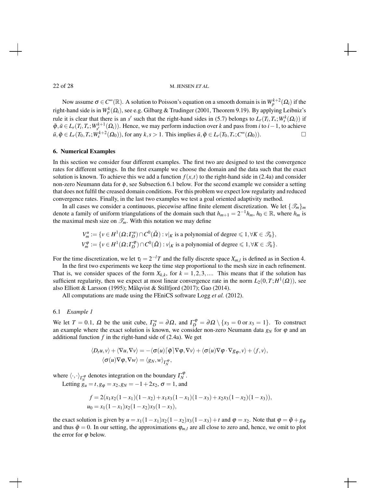Now assume  $\sigma \in C^{\infty}(\mathbb{R})$ . A solution to Poisson's equation on a smooth domain is in  $W^{k+2}_p(\Omega_i)$  if the right-hand side is in  $W_p^k(\Omega_i)$ , see e.g. Gilbarg & Trudinger (2001, Theorem 9.19). By applying Leibniz's rule it is clear that there is an *s'* such that the right-hand sides in (5.7) belongs to  $L_r(T_i, T_*; W_s^k(\Omega_i))$  if  $\tilde{\varphi}, \tilde{u} \in L_r(T_i, T_*; W^{k+1}_{s'}(\Omega_i))$ . Hence, we may perform induction over *k* and pass from *i* to *i* − 1, to achieve  $\tilde{u}, \tilde{\varphi} \in L_r(T_0, T_*; W_s^{k+2}(\Omega_0))$ , for any  $k, s > 1$ . This implies  $\tilde{u}, \tilde{\varphi} \in L_r(T_0, T_*; C^{\infty}(\Omega_0))$ .

#### 6. Numerical Examples

In this section we consider four different examples. The first two are designed to test the convergence rates for different settings. In the first example we choose the domain and the data such that the exact solution is known. To achieve this we add a function  $f(x,t)$  to the right-hand side in (2.4a) and consider non-zero Neumann data for  $\phi$ , see Subsection 6.1 below. For the second example we consider a setting that does not fulfil the creased domain conditions. For this problem we expect low regularity and reduced convergence rates. Finally, in the last two examples we test a goal oriented adaptivity method.

In all cases we consider a continuous, piecewise affine finite element discretization. We let  $\{\mathcal{I}_m\}_m$ denote a family of uniform triangulations of the domain such that  $h_{m+1} = 2^{-1}h_m$ ,  $h_0 \in \mathbb{R}$ , where  $h_m$  is the maximal mesh size on  $\mathcal{I}_m$ . With this notation we may define

$$
V_m^u := \{ v \in H^1(\Omega; \Gamma_D^u) \cap C^0(\bar{\Omega}) : v|_K \text{ is a polynomial of degree } \leq 1, \forall K \in \mathcal{T}_h \},
$$
  

$$
V_m^\phi := \{ v \in H^1(\Omega; \Gamma_D^\phi) \cap C^0(\bar{\Omega}) : v|_K \text{ is a polynomial of degree } \leq 1, \forall K \in \mathcal{T}_h \}.
$$

For the time discretization, we let  $\tau_l = 2^{-l}T$  and the fully discrete space  $X_{m,l}$  is defined as in Section 4.

In the first two experiments we keep the time step proportional to the mesh size in each refinement. That is, we consider spaces of the form  $X_{k,k}$ , for  $k = 1, 2, 3, \dots$  This means that if the solution has sufficient regularity, then we expect at most linear convergence rate in the norm  $L_2(0,T;H^1(\Omega))$ , see also Elliott & Larsson (1995); Målqvist & Stillfjord (2017); Gao (2014).

All computations are made using the FEniCS software Logg *et al.* (2012).

#### 6.1 *Example 1*

We let  $T = 0.1$ ,  $\Omega$  be the unit cube,  $\Gamma_D^u = \partial \Omega$ , and  $\Gamma_D^{\phi} = \partial \Omega \setminus \{x_3 = 0 \text{ or } x_3 = 1\}$ . To construct an example where the exact solution is known, we consider non-zero Neumann data  $g_N$  for  $\varphi$  and an additional function  $f$  in the right-hand side of  $(2.4a)$ . We get

$$
\langle D_t u, v \rangle + \langle \nabla u, \nabla v \rangle = -\langle \sigma(u) \lceil \tilde{\varphi} \rceil \nabla \varphi, \nabla v \rangle + \langle \sigma(u) \nabla \varphi \cdot \nabla g_{\varphi}, v \rangle + \langle f, v \rangle, \langle \sigma(u) \nabla \varphi, \nabla w \rangle = \langle g_N, w \rangle_{\Gamma_N^{\varphi}},
$$

where  $\langle \cdot, \cdot \rangle_{\Gamma_N^{\phi}}$  denotes integration on the boundary  $\Gamma_N^{\phi}$ .

Letting  $g_u = t$ ,  $g_{\varphi} = x_2$ ,  $g_N = -1 + 2x_2$ ,  $\sigma = 1$ , and

$$
f = 2(x_1x_2(1-x_1)(1-x_2)+x_1x_3(1-x_1)(1-x_3)+x_2x_3(1-x_2)(1-x_3)),
$$
  
\n
$$
u_0 = x_1(1-x_1)x_2(1-x_2)x_3(1-x_3),
$$

the exact solution is given by  $u = x_1(1-x_1)x_2(1-x_2)x_3(1-x_3) + t$  and  $\varphi = x_2$ . Note that  $\varphi = \tilde{\varphi} + g_{\varphi}$ and thus  $\tilde{\varphi} = 0$ . In our setting, the approximations  $\varphi_{m,l}$  are all close to zero and, hence, we omit to plot the error for  $\varphi$  below.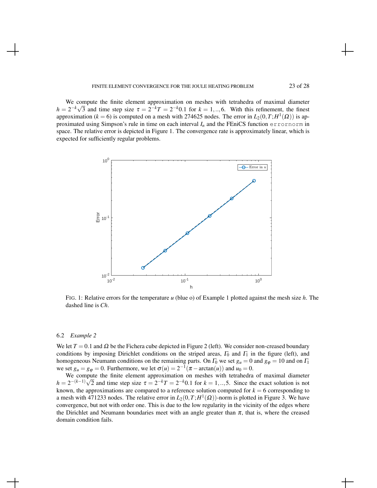#### FINITE ELEMENT CONVERGENCE FOR THE JOULE HEATING PROBLEM 23 of 28

We compute the finite element approximation on meshes with tetrahedra of maximal diameter  $h = 2^{-k}\sqrt{3}$  and time step size  $\tau = 2^{-k}T = 2^{-k}0.1$  for  $k = 1, ..., 6$ . With this refinement, the finest approximation ( $k = 6$ ) is computed on a mesh with 274625 nodes. The error in  $L_2(0,T;H^1(\Omega))$  is approximated using Simpson's rule in time on each interval *I<sup>n</sup>* and the FEniCS function errornorm in space. The relative error is depicted in Figure 1. The convergence rate is approximately linear, which is expected for sufficiently regular problems.



FIG. 1: Relative errors for the temperature *u* (blue o) of Example 1 plotted against the mesh size *h*. The dashed line is *Ch*.

#### 6.2 *Example 2*

We let  $T = 0.1$  and  $\Omega$  be the Fichera cube depicted in Figure 2 (left). We consider non-creased boundary conditions by imposing Dirichlet conditions on the striped areas,  $\Gamma_0$  and  $\Gamma_1$  in the figure (left), and homogeneous Neumann conditions on the remaining parts. On  $\Gamma_0$  we set  $g_u = 0$  and  $g_\phi = 10$  and on  $\Gamma_1$ we set  $g_u = g_\phi = 0$ . Furthermore, we let  $\sigma(u) = 2^{-1}(\pi - \arctan(u))$  and  $u_0 = 0$ .

We compute the finite element approximation on meshes with tetrahedra of maximal diameter  $h = 2^{-(k-1)}\sqrt{2}$  and time step size  $\tau = 2^{-k}T = 2^{-k}0.1$  for  $k = 1, \ldots, 5$ . Since the exact solution is not known, the approximations are compared to a reference solution computed for  $k = 6$  corresponding to a mesh with 471233 nodes. The relative error in  $L_2(0,T;H^1(\Omega))$ -norm is plotted in Figure 3. We have convergence, but not with order one. This is due to the low regularity in the vicinity of the edges where the Dirichlet and Neumann boundaries meet with an angle greater than  $\pi$ , that is, where the creased domain condition fails.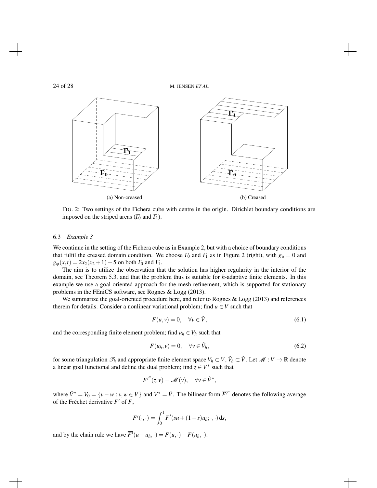

FIG. 2: Two settings of the Fichera cube with centre in the origin. Dirichlet boundary conditions are imposed on the striped areas ( $\Gamma_0$  and  $\Gamma_1$ ).

#### 6.3 *Example 3*

We continue in the setting of the Fichera cube as in Example 2, but with a choice of boundary conditions that fulfil the creased domain condition. We choose  $\Gamma_0$  and  $\Gamma_1$  as in Figure 2 (right), with  $g_u = 0$  and  $g_{\varphi}(x,t) = 2x_2(x_2 + 1) + 5$  on both  $\Gamma_0$  and  $\Gamma_1$ .

The aim is to utilize the observation that the solution has higher regularity in the interior of the domain, see Theorem 5.3, and that the problem thus is suitable for *h*-adaptive finite elements. In this example we use a goal-oriented approach for the mesh refinement, which is supported for stationary problems in the FEniCS software, see Rognes & Logg (2013).

We summarize the goal-oriented procedure here, and refer to Rognes & Logg (2013) and references therein for details. Consider a nonlinear variational problem; find  $u \in V$  such that

$$
F(u, v) = 0, \quad \forall v \in \hat{V}, \tag{6.1}
$$

and the corresponding finite element problem; find  $u_h \in V_h$  such that

$$
F(u_h, v) = 0, \quad \forall v \in \hat{V}_h,
$$
\n
$$
(6.2)
$$

for some triangulation  $\mathscr{T}_h$  and appropriate finite element space  $V_h \subset V$ ,  $\hat{V}_h \subset \hat{V}$ . Let  $\mathscr{M}: V \to \mathbb{R}$  denote a linear goal functional and define the dual problem; find  $z \in V^*$  such that

$$
\overline{F'}^*(z,v) = \mathscr{M}(v), \quad \forall v \in \hat{V}^*,
$$

where  $\hat{V}^* = V_0 = \{v - w : v, w \in V\}$  and  $V^* = \hat{V}$ . The bilinear form  $\overline{F'}^*$  denotes the following average of the Fréchet derivative  $F'$  of  $F$ ,

$$
\overline{F'}(\cdot,\cdot)=\int_0^1 F'(su+(1-s)u_h;\cdot,\cdot)\,\mathrm{d} s,
$$

and by the chain rule we have  $\overline{F}(u - u_h, \cdot) = F(u, \cdot) - F(u_h, \cdot)$ .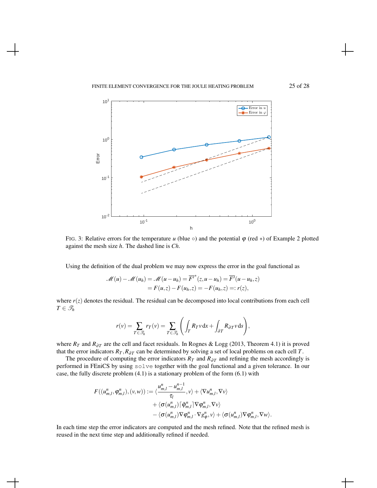#### FINITE ELEMENT CONVERGENCE FOR THE JOULE HEATING PROBLEM 25 of 28



FIG. 3: Relative errors for the temperature *u* (blue  $\circ$ ) and the potential  $\varphi$  (red  $*$ ) of Example 2 plotted against the mesh size *h*. The dashed line is *Ch*.

Using the definition of the dual problem we may now express the error in the goal functional as

$$
\mathcal{M}(u) - \mathcal{M}(u_h) = \mathcal{M}(u - u_h) = \overline{F'}^*(z, u - u_h) = \overline{F'}(u - u_h, z)
$$
  
=  $F(u, z) - F(u_h, z) = -F(u_h, z) =: r(z),$ 

where  $r(z)$  denotes the residual. The residual can be decomposed into local contributions from each cell  $T \in \mathscr{T}_h$ 

$$
r(v) = \sum_{T \in \mathcal{I}_h} r_T(v) = \sum_{T \in \mathcal{I}_h} \left( \int_T R_T v \, dx + \int_{\partial T} R_{\partial T} v \, ds \right),
$$

where  $R_T$  and  $R_{\partial T}$  are the cell and facet residuals. In Rognes & Logg (2013, Theorem 4.1) it is proved that the error indicators  $R_T$ ,  $R_{\partial T}$  can be determined by solving a set of local problems on each cell *T*.

The procedure of computing the error indicators  $R_T$  and  $R_{\partial T}$  and refining the mesh accordingly is performed in FEniCS by using solve together with the goal functional and a given tolerance. In our case, the fully discrete problem (4.1) is a stationary problem of the form (6.1) with

$$
F((u_{m,l}^n, \varphi_{m,l}^n), (v, w)) := \langle \frac{u_{m,l}^n - u_{m,l}^{n-1}}{\tau_l}, v \rangle + \langle \nabla u_{m,l}^n, \nabla v \rangle + \langle \sigma(u_{m,l}^n) \lceil \tilde{\varphi}_{m,l}^n \rceil \nabla \varphi_{m,l}^n, \nabla v \rangle - \langle \sigma(u_{m,l}^n) \nabla \varphi_{m,l}^n \cdot \nabla g_{\varphi}^n, v \rangle + \langle \sigma(u_{m,l}^n) \nabla \varphi_{m,l}^n, \nabla w \rangle.
$$

In each time step the error indicators are computed and the mesh refined. Note that the refined mesh is reused in the next time step and additionally refined if needed.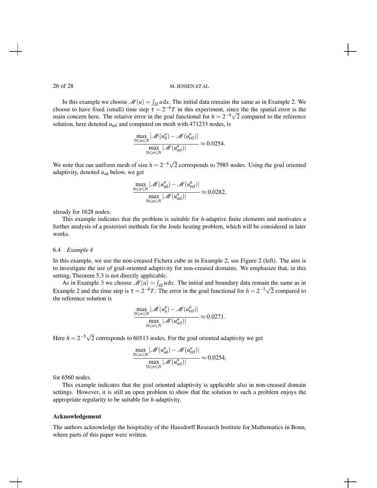In this example we choose  $\mathcal{M}(u) = \int_{\Omega} u \, dx$ . The initial data remains the same as in Example 2. We choose to have fixed (small) time step  $\tau = 2^{-6}T$  in this experiment, since the the spatial error is the main concern here. The relative error in the goal functional for  $h = 2^{-4}\sqrt{2}$  compared to the reference solution, here denoted  $u_{ref}$  and computed on mesh with 471233 nodes, is

$$
\frac{\max\limits_{0\leq n\leq N}|\mathcal{M}(u^n_h) - \mathcal{M}(u^n_{\text{ref}})|}{\max\limits_{0\leq n\leq N}|\mathcal{M}(u^n_{\text{ref}})|} \approx 0.0254.
$$

We note that our uniform mesh of size  $h = 2^{-4}\sqrt{ }$ 2 corresponds to 7985 nodes. Using the goal oriented adaptivity, denoted *u*ad below, we get

$$
\frac{\max\limits_{0\leq n\leq N}|\mathcal{M}(u_{\text{ad}}^n)-\mathcal{M}(u_{\text{ref}}^n)|}{\max\limits_{0\leq n\leq N}|\mathcal{M}(u_{\text{ref}}^n)|} \approx 0.0282,
$$

already for 1628 nodes.

This example indicates that the problem is suitable for *h*-adaptive finite elements and motivates a further analysis of a posteriori methods for the Joule heating problem, which will be considered in later works.

#### 6.4 *Example 4*

In this example, we use the non-creased Fichera cube as in Example 2, see Figure 2 (left). The aim is to investigate the use of goal-oriented adaptivity for non-creased domains. We emphasize that, in this setting, Theorem 5.3 is not directly applicable.

As in Example 3 we choose  $\mathcal{M}(u) = \int_{\Omega} u \, dx$ . The initial and boundary data remain the same as in Example 2 and the time step is  $\tau = 2^{-6}T$ . The error in the goal functional for  $h = 2^{-5}\sqrt{2}$  compared to the reference solution is

$$
\frac{\max\limits_{0\leq n\leq N}|\mathcal{M}(u^n_h)-\mathcal{M}(u^n_{\text{ref}})|}{\max\limits_{0\leq n\leq N}|\mathcal{M}(u^n_{\text{ref}})|}\approx 0.0271.
$$

Here  $h = 2^{-5}\sqrt{ }$ 2 corresponds to 60513 nodes. For the goal oriented adaptivity we get

$$
\frac{\max\limits_{0\leq n\leq N}|\mathcal{M}(u_{\text{ad}}^n) - \mathcal{M}(u_{\text{ref}}^n)|}{\max\limits_{0\leq n\leq N}|\mathcal{M}(u_{\text{ref}}^n)|} \approx 0.0254,
$$

for 6560 nodes.

This example indicates that the goal oriented adaptivity is applicable also in non-creased domain settings. However, it is still an open problem to show that the solution to such a problem enjoys the appropriate regularity to be suitable for *h*-adaptivity.

#### Acknowledgement

The authors acknowledge the hospitality of the Hausdorff Research Institute for Mathematics in Bonn, where parts of this paper were written.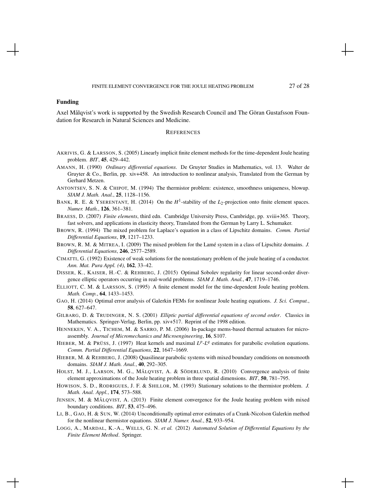#### Funding

Axel Målqvist's work is supported by the Swedish Research Council and The Göran Gustafsson Foundation for Research in Natural Sciences and Medicine.

#### **REFERENCES**

- AKRIVIS, G. & LARSSON, S. (2005) Linearly implicit finite element methods for the time-dependent Joule heating problem. *BIT*, 45, 429–442.
- AMANN, H. (1990) *Ordinary differential equations*. De Gruyter Studies in Mathematics, vol. 13. Walter de Gruyter & Co., Berlin, pp. xiv+458. An introduction to nonlinear analysis, Translated from the German by Gerhard Metzen.
- ANTONTSEV, S. N. & CHIPOT, M. (1994) The thermistor problem: existence, smoothness uniqueness, blowup. *SIAM J. Math. Anal.*, 25, 1128–1156.
- BANK, R. E. & YSERENTANT, H. (2014) On the  $H^1$ -stability of the  $L_2$ -projection onto finite element spaces. *Numer. Math.*, 126, 361–381.
- BRAESS, D. (2007) *Finite elements*, third edn. Cambridge University Press, Cambridge, pp. xviii+365. Theory, fast solvers, and applications in elasticity theory, Translated from the German by Larry L. Schumaker.
- BROWN, R. (1994) The mixed problem for Laplace's equation in a class of Lipschitz domains. *Comm. Partial Differential Equations*, 19, 1217–1233.
- BROWN, R. M. & MITREA, I. (2009) The mixed problem for the Lamé system in a class of Lipschitz domains. *J. Differential Equations*, 246, 2577–2589.
- CIMATTI, G. (1992) Existence of weak solutions for the nonstationary problem of the joule heating of a conductor. *Ann. Mat. Pura Appl. (4)*, 162, 33–42.
- DISSER, K., KAISER, H.-C. & REHBERG, J. (2015) Optimal Sobolev regularity for linear second-order divergence elliptic operators occurring in real-world problems. *SIAM J. Math. Anal.*, 47, 1719–1746.
- ELLIOTT, C. M. & LARSSON, S. (1995) A finite element model for the time-dependent Joule heating problem. *Math. Comp.*, 64, 1433–1453.
- GAO, H. (2014) Optimal error analysis of Galerkin FEMs for nonlinear Joule heating equations. *J. Sci. Comput.*, 58, 627–647.
- GILBARG, D. & TRUDINGER, N. S. (2001) *Elliptic partial differential equations of second order*. Classics in Mathematics. Springer-Verlag, Berlin, pp. xiv+517. Reprint of the 1998 edition.
- HENNEKEN, V. A., TICHEM, M. & SARRO, P. M. (2006) In-package mems-based thermal actuators for microassembly. *Journal of Micromechanics and Microengineering*, 16, S107.
- HIEBER, M. & PRÜSS, J. (1997) Heat kernels and maximal  $L^p$ - $L^q$  estimates for parabolic evolution equations. *Comm. Partial Differential Equations*, 22, 1647–1669.
- HIEBER, M. & REHBERG, J. (2008) Quasilinear parabolic systems with mixed boundary conditions on nonsmooth domains. *SIAM J. Math. Anal.*, 40, 292–305.
- HOLST, M. J., LARSON, M. G., MÅLQVIST, A. & SÖDERLUND, R. (2010) Convergence analysis of finite element approximations of the Joule heating problem in three spatial dimensions. *BIT*, 50, 781–795.
- HOWISON, S. D., RODRIGUES, J. F. & SHILLOR, M. (1993) Stationary solutions to the thermistor problem. *J. Math. Anal. Appl.*, 174, 573–588.
- JENSEN, M. & MÅLQVIST, A. (2013) Finite element convergence for the Joule heating problem with mixed boundary conditions. *BIT*, 53, 475–496.
- LI, B., GAO, H. & SUN, W. (2014) Unconditionally optimal error estimates of a Crank-Nicolson Galerkin method for the nonlinear thermistor equations. *SIAM J. Numer. Anal.*, 52, 933–954.
- LOGG, A., MARDAL, K.-A., WELLS, G. N. *et al.* (2012) *Automated Solution of Differential Equations by the Finite Element Method*. Springer.